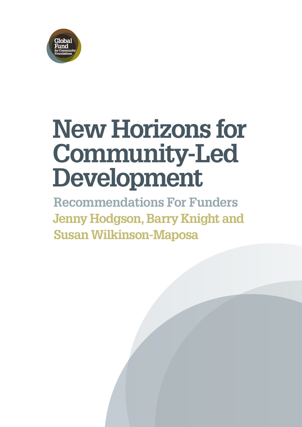

# **New Horizons for Community-Led Development**

**Recommendations For Funders Jenny Hodgson, Barry Knight and Susan Wilkinson-Maposa**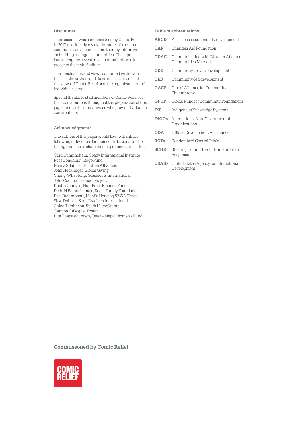#### **Disclaimer**

This research was commissioned by Comic Relief in 2017 to critically review the state-of-the-art on community development and thereby inform work on building stronger communities. The report has undergone several revisions and this version presents the main findings.

The conclusions and views contained within are those of the authors and do no necessarily reflect the views of Comic Relief or of the organizations and individuals cited.

Special thanks to staff members of Comic Relief for their contributions throughout the preparation of this paper and to the interviewees who provided valuable contributions.

#### **Acknowledgments**

The authors of this paper would like to thank the following individuals for their contributions, and for taking the time to share their experiences, including:

Gord Cunningham, Coady International Institute Rose Longhurst, Edge Fund Neena S Jain, emBOLDen Alliances John Hecklinger, Global Giving Chung‑Wha Hong, Grassroots International John Coonrod, Hunger Project Kristin Giantris, Non‑Profit Finance Fund Dedo N Baranshamaje, Segal Family Foundation Bijal Brahmbhatt, Mahila Housing SEWA Trust Skye Dobson, Slum Dwellers International Chloe Tomlinson, Spark MicroGrants Gannon Gillespie, Tostan Rita Thapa (founder), Tewa – Nepal Women's Fund

#### **Table of abbreviations**

- **ABCD** Asset‑based community development
- **CAF** Charities Aid Foundation
- **CDAC** Communicating with Disaster Affected Communities Network
- **CDD** Community‑driven development
- **CLD** Community‑led development
- **GACP** Global Alliance for Community Philanthropy
- **GFCF** Global Fund for Community Foundations
- **IKS** Indigenous Knowledge Systems
- **INGOs** International Non‑Governmental Organizations
- **ODA** Official Development Assistance
- **RCTs** Randomized Control Trials
- **SCHR** Steering Committee for Humanitarian Response
- **USAID** United States Agency for International Development

**Commissoned by Comic Relief**

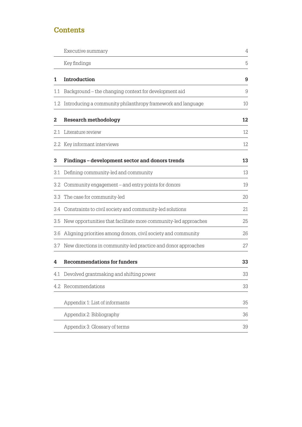# <span id="page-2-0"></span>**Contents**

|     | Executive summary                                               | 4  |
|-----|-----------------------------------------------------------------|----|
|     | Key findings                                                    | 5  |
| 1   | Introduction                                                    | 9  |
| 1.1 | Background - the changing context for development aid           | 9  |
| 1.2 | Introducing a community philanthropy framework and language     | 10 |
| 2   | <b>Research methodology</b>                                     | 12 |
| 2.1 | Literature review                                               | 12 |
|     | 2.2 Key informant interviews                                    | 12 |
| 3   | Findings - development sector and donors trends                 | 13 |
| 3.1 | Defining community-led and community                            | 13 |
| 3.2 | Community engagement – and entry points for donors              | 19 |
| 3.3 | The case for community-led                                      | 20 |
|     | 3.4 Constraints to civil society and community-led solutions    | 21 |
| 3.5 | New opportunities that facilitate more community-led approaches | 25 |
| 3.6 | Aligning priorities among donors, civil society and community   | 26 |
| 3.7 | New directions in community-led practice and donor approaches   | 27 |
| 4   | <b>Recommendations for funders</b>                              | 33 |
|     | 4.1 Devolved grantmaking and shifting power                     | 33 |
|     | 4.2 Recommendations                                             | 33 |
|     | Appendix 1: List of informants                                  | 35 |
|     | Appendix 2: Bibliography                                        | 36 |
|     | Appendix 3: Glossary of terms                                   | 39 |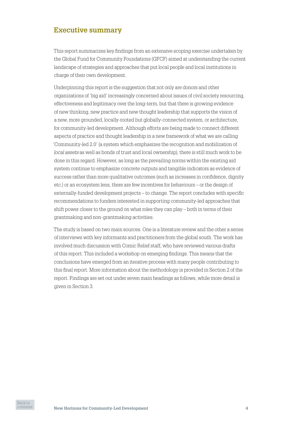# <span id="page-3-0"></span>**Executive summary**

This report summarizes key findings from an extensive scoping exercise undertaken by the Global Fund for Community Foundations (GFCF) aimed at understanding the current landscape of strategies and approaches that put local people and local institutions in charge of their own development.

Underpinning this report is the suggestion that not only are donors and other organizations of 'big aid' increasingly concerned about issues of civil society resourcing, effectiveness and legitimacy over the long‑term, but that there is growing evidence of new thinking, new practice and new thought leadership that supports the vision of a new, more grounded, locally‑rooted but globally‑connected system, or architecture, for community‑led development. Although efforts are being made to connect different aspects of practice and thought leadership in a new framework of what we are calling 'Community‑led 2.0' (a system which emphasizes the recognition and mobilization of *local assets* as well as bonds of trust and local ownership), there is still much work to be done in this regard. However, as long as the prevailing norms within the existing aid system continue to emphasize concrete outputs and tangible indicators as evidence of success rather than more qualitative outcomes (such as increases in confidence, dignity etc.) or an ecosystem lens, there are few incentives for behaviours – or the design of externally‑funded development projects – to change. The report concludes with specific recommendations to funders interested in supporting community‑led approaches that shift power closer to the ground on what roles they can play – both in terms of their grantmaking and non‑grantmaking activities.

The study is based on two main sources. One is a literature review and the other a series of interviews with key informants and practitioners from the global south. The work has involved much discussion with Comic Relief staff, who have reviewed various drafts of this report. This included a workshop on emerging findings. This means that the conclusions have emerged from an iterative process with many people contributing to this final report. More information about the methodology is provided in Section 2 of the report. Findings are set out under seven main headings as follows, while more detail is given in Section 3.

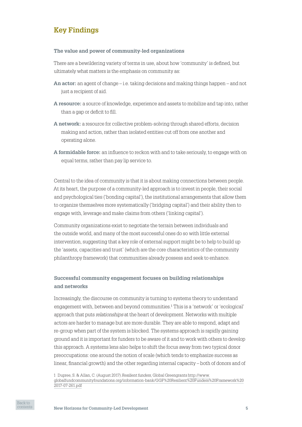# <span id="page-4-0"></span>**Key Findings**

## **The value and power of community-led organizations**

There are a bewildering variety of terms in use, about how 'community' is defined, but ultimately what matters is the emphasis on community as:

- **An actor:** an agent of change i.e. taking decisions and making things happen and not just a recipient of aid.
- **A resource:** a source of knowledge, experience and assets to mobilize and tap into, rather than a gap or deficit to fill.
- **A network:** a resource for collective problem‑solving through shared efforts, decision making and action, rather than isolated entities cut off from one another and operating alone.
- **A formidable force:** an influence to reckon with and to take seriously, to engage with on equal terms, rather than pay lip service to.

Central to the idea of community is that it is about making connections between people. At its heart, the purpose of a community‑led approach is to invest in people, their social and psychological ties ('bonding capital'), the institutional arrangements that allow them to organize themselves more systematically ('bridging capital') and their ability then to engage with, leverage and make claims from others ('linking capital').

Community organizations exist to negotiate the terrain between individuals and the outside world, and many of the most successful ones do so with little external intervention, suggesting that a key role of external support might be to help to build up the 'assets, capacities and trust' (which are the core characteristics of the community philanthropy framework) that communities already possess and seek to enhance.

# **Successful community engagement focuses on building relationships and networks**

Increasingly, the discourse on community is turning to systems theory to understand engagement with, between and beyond communities.1 This is a 'network' or 'ecological' approach that puts *relationships* at the heart of development. Networks with multiple actors are harder to manage but are more durable. They are able to respond, adapt and re‑group when part of the system is blocked. The systems approach is rapidly gaining ground and it is important for funders to be aware of it and to work with others to develop this approach. A systems lens also helps to shift the focus away from two typical donor preoccupations: one around the notion of scale (which tends to emphasize success as linear, financial growth) and the other regarding internal capacity – both of donors and of

<sup>1</sup> Dupree, S. & Allan, C. (August 2017) *Resilient funders*, Global Greengrants [http://www.](http://www.globalfundcommunityfoundations.org/information-bank/GGF%20Resilient%20Funders%20Framework%202017-07-261.pdf) [globalfundcommunityfoundations.org/information‑bank/GGF%20Resilient%20Funders%20Framework%20](http://www.globalfundcommunityfoundations.org/information-bank/GGF%20Resilient%20Funders%20Framework%202017-07-261.pdf) [2017‑07‑261.pdf](http://www.globalfundcommunityfoundations.org/information-bank/GGF%20Resilient%20Funders%20Framework%202017-07-261.pdf)

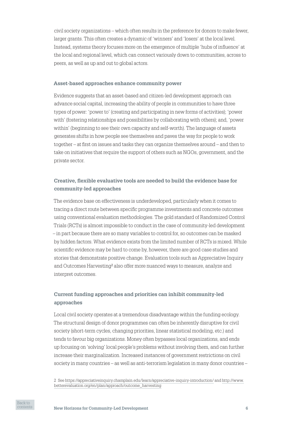civil society organizations – which often results in the preference for donors to make fewer, larger grants. This often creates a dynamic of 'winners' and 'losers' at the local level. Instead, systems theory focuses more on the emergence of multiple 'hubs of influence' at the local and regional level, which can connect variously down to communities, across to peers, as well as up and out to global actors.

#### **Asset-based approaches enhance community power**

Evidence suggests that an asset‑based and citizen‑led development approach can advance social capital, increasing the ability of people in communities to have three types of power: 'power to' (creating and participating in new forms of activities); 'power with' (fostering relationships and possibilities by collaborating with others); and, 'power within' (beginning to see their own capacity and self-worth). The language of assets generates shifts in how people see themselves and paves the way for people to work together – at first on issues and tasks they can organize themselves around – and then to take on initiatives that require the support of others such as NGOs, government, and the private sector.

# **Creative, flexible evaluative tools are needed to build the evidence base for community-led approaches**

The evidence base on effectiveness is underdeveloped, particularly when it comes to tracing a direct route between specific programme investments and concrete outcomes using conventional evaluation methodologies. The gold standard of Randomized Control Trials (RCTs) is almost impossible to conduct in the case of community‑led development – in part because there are so many variables to control for, so outcomes can be masked by hidden factors. What evidence exists from the limited number of RCTs is mixed. While scientific evidence may be hard to come by, however, there are good case studies and stories that demonstrate positive change. Evaluation tools such as Appreciative Inquiry and Outcomes Harvesting2 also offer more nuanced ways to measure, analyze and interpret outcomes.

# **Current funding approaches and priorities can inhibit community-led approaches**

Local civil society operates at a tremendous disadvantage within the funding ecology. The structural design of donor programmes can often be inherently disruptive for civil society (short-term cycles, changing priorities, linear statistical modeling, etc.) and tends to favour big organizations. Money often bypasses local organizations, and ends up focusing on 'solving' local people's problems without involving them, and can further increase their marginalization. Increased instances of government restrictions on civil society in many countries – as well as anti-terrorism legislation in many donor countries –

<sup>2</sup> See [https://appreciativeinquiry.champlain.edu/learn/appreciative‑inquiry‑introduction/](https://appreciativeinquiry.champlain.edu/learn/appreciative-inquiry-introduction/) and [http://www.](http://www.betterevaluation.org/en/plan/approach/outcome_harvesting) [betterevaluation.org/en/plan/approach/outcome\\_harvesting](http://www.betterevaluation.org/en/plan/approach/outcome_harvesting)

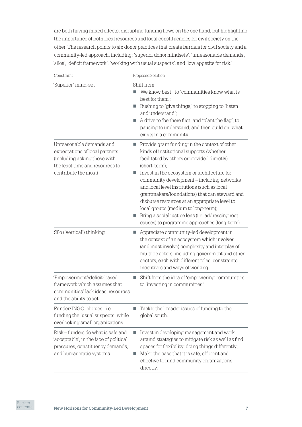are both having mixed effects, disrupting funding flows on the one hand, but highlighting the importance of both local resources and local constituencies for civil society on the other. The research points to six donor practices that create barriers for civil society and a community‑led approach, including: 'superior donor mindsets', 'unreasonable demands', 'silos', 'deficit framework', 'working with usual suspects', and 'low appetite for risk.'

| Constraint                                                                                                                                            | Proposed Solution                                                                                                                                                                                                                                                                                                                                                                                                                                                                                                                                        |
|-------------------------------------------------------------------------------------------------------------------------------------------------------|----------------------------------------------------------------------------------------------------------------------------------------------------------------------------------------------------------------------------------------------------------------------------------------------------------------------------------------------------------------------------------------------------------------------------------------------------------------------------------------------------------------------------------------------------------|
| 'Superior' mind-set                                                                                                                                   | Shift from:<br>'We know best,' to 'communities know what is<br>best for them';<br>Rushing to 'give things,' to stopping to 'listen<br>$\mathcal{L}_{\mathcal{A}}$<br>and understand';<br>A drive to 'be there first' and 'plant the flag', to<br>pausing to understand, and then build on, what<br>exists in a community.                                                                                                                                                                                                                                |
| Unreasonable demands and<br>expectations of local partners<br>(including asking those with<br>the least time and resources to<br>contribute the most) | Provide grant funding in the context of other<br>ш<br>kinds of institutional supports (whether<br>facilitated by others or provided directly)<br>(short-term);<br>Invest in the ecosystem or architecture for<br>community development - including networks<br>and local level institutions (such as local<br>grantmakers/foundations) that can steward and<br>disburse resources at an appropriate level to<br>local groups (medium to long-term);<br>Bring a social justice lens (i.e. addressing root<br>causes) to programme approaches (long-term). |
| Silo ('vertical') thinking                                                                                                                            | Appreciate community-led development in<br>a.<br>the context of an ecosystem which involves<br>(and must involve) complexity and interplay of<br>multiple actors, including government and other<br>sectors, each with different roles, constraints,<br>incentives and ways of working.                                                                                                                                                                                                                                                                  |
| 'Empowerment'/deficit-based<br>framework which assumes that<br>communities' lack ideas, resources<br>and the ability to act                           | Shift from the idea of 'empowering communities'<br>to 'investing in communities.'                                                                                                                                                                                                                                                                                                                                                                                                                                                                        |
| Funder/INGO 'cliques': i.e.<br>funding the 'usual suspects' while<br>overlooking small organizations                                                  | Tackle the broader issues of funding to the<br>global south.                                                                                                                                                                                                                                                                                                                                                                                                                                                                                             |
| Risk – funders do what is safe and<br>acceptable', in the face of political<br>pressures, constituency demands,<br>and bureaucratic systems           | Invest in developing management and work<br>a.<br>around strategies to mitigate risk as well as find<br>spaces for flexibility: doing things differently;<br>Make the case that it is safe, efficient and<br>effective to fund community organizations<br>directly.                                                                                                                                                                                                                                                                                      |

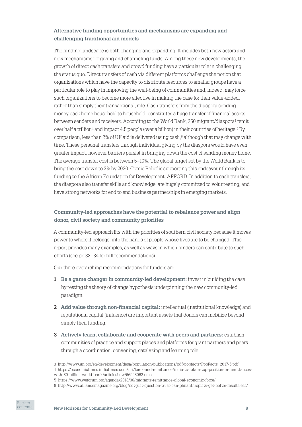# **Alternative funding opportunities and mechanisms are expanding and challenging traditional aid models**

The funding landscape is both changing and expanding. It includes both new actors and new mechanisms for giving and channeling funds. Among these new developments, the growth of direct cash transfers and crowd funding have a particular role in challenging the status quo. Direct transfers of cash via different platforms challenge the notion that organizations which have the capacity to distribute resources to smaller groups have a particular role to play in improving the well‑being of communities and, indeed, may force such organizations to become more effective in making the case for their value-added, rather than simply their transactional, role. Cash transfers from the diaspora sending money back home household to household, constitutes a huge transfer of financial assets between senders and receivers. According to the World Bank, 250 migrant/diaspora3 remit over half a trillion<sup>4</sup> and impact 4.5 people (over a billion) in their countries of heritage.<sup>5</sup> By comparison, less than 2% of UK aid is delivered using cash. $6$  although that may change with time. These personal transfers through individual giving by the diaspora would have even greater impact, however barriers persist in bringing down the cost of sending money home. The average transfer cost is between 5–10%. The global target set by the World Bank is to bring the cost down to 3% by 2030. Comic Relief is supporting this endeavour through its funding to the African Foundation for Development, AFFORD. In addition to cash transfers, the diaspora also transfer skills and knowledge, are hugely committed to volunteering, and have strong networks for end to end business partnerships in emerging markets.

# **Community-led approaches have the potential to rebalance power and align donor, civil society and community priorities**

A community‑led approach fits with the priorities of southern civil society because it moves power to where it belongs: into the hands of people whose lives are to be changed. This report provides many examples, as well as ways in which funders can contribute to such efforts (see pp 33–34 for full recommendations).

Our three overarching recommendations for funders are:

- **1 Be a game changer in community-led development:** invest in building the case by testing the theory of change hypothesis underpinning the new community‑led paradigm.
- **2 Add value through non-financial capital:** intellectual (institutional knowledge) and reputational capital (influence) are important assets that donors can mobilize beyond simply their funding.
- **3 Actively learn, collaborate and cooperate with peers and partners:** establish communities of practice and support places and platforms for grant partners and peers through a coordination, convening, catalyzing and learning role.

4 https://economictimes.indiatimes.com/nri/forex-and-remittance/india-to-retain-top-position-in-remittanceswith-80-billion-world-bank/articleshow/66998062.cms

<sup>6</sup> http://www.alliancemagazine.org/blog/not-just-question-trust-can-philanthropists-get-better-resultsless/



<sup>3</sup> http://www.un.org/en/development/desa/population/publications/pdf/popfacts/PopFacts\_2017-5.pdf

<sup>5</sup> https://www.weforum.org/agenda/2018/06/migrants-remittance-global-economic-force/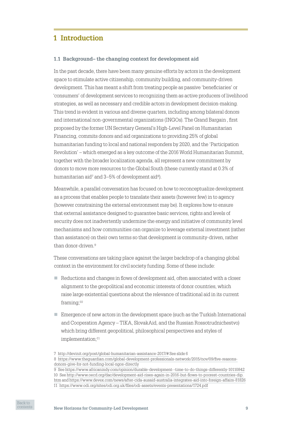# <span id="page-8-0"></span>**1 Introduction**

## **1.1 Background– the changing context for development aid**

In the past decade, there have been many genuine efforts by actors in the development space to stimulate active citizenship, community building, and community-driven development. This has meant a shift from treating people as passive 'beneficiaries' or 'consumers' of development services to recognizing them as active producers of livelihood strategies, as well as necessary and credible actors in development decision-making. This trend is evident in various and diverse quarters, including among bilateral donors and international non‑governmental organizations (INGOs). The Grand Bargain , first proposed by the former UN Secretary General's High‑Level Panel on Humanitarian Financing, commits donors and aid organizations to providing 25% of global humanitarian funding to local and national responders by 2020, and the 'Participation Revolution' – which emerged as a key outcome of the 2016 World Humanitarian Summit, together with the broader localization agenda, all represent a new commitment by donors to move more resources to the Global South (these currently stand at 0.3% of humanitarian aid<sup>7</sup> and 3–5% of development aid<sup>8</sup>).

Meanwhile, a parallel conversation has focused on how to reconceptualize development as a process that enables people to translate their assets (however few) in to agency (however constraining the external environment may be). It explores how to ensure that external assistance designed to guarantee basic services, rights and levels of security does not inadvertently undermine the energy and initiative of community level mechanisms and how communities can organize to leverage external investment (rather than assistance) on their own terms so that development is community‑driven, rather than donor‑driven.9

These conversations are taking place against the larger backdrop of a changing global context in the environment for civil society funding. Some of these include:

- $\blacksquare$  Reductions and changes in flows of development aid, often associated with a closer alignment to the geopolitical and economic interests of donor countries, which raise large existential questions about the relevance of traditional aid in its current framing;10
- $\blacksquare$  Emergence of new actors in the development space (such as the Turkish International and Cooperation Agency – TIKA, SlovakAid, and the Russian Rossotrudnichestvo) which bring different geopolitical, philosophical perspectives and styles of implementation;<sup>11</sup>



<sup>7</sup> [http://devinit.org/post/global‑humanitarian‑assistance‑2017/#](http://devinit.org/post/global-humanitarian-assistance-2017/) See slide 6

<sup>8</sup> https://www.theguardian.com/global-development-professionals-network/2015/nov/09/five-reasons[donors-give-for-not-funding-local-ngos-directly](https://www.theguardian.com/global-development-professionals-network/2015/nov/09/five-reasons-donors-give-for-not-funding-local-ngos-directly)

<sup>9</sup> See<https://www.africanindy.com/opinion/durable-development--time-to-do-things-differently-10110842> 10 See [http://www.oecd.org/dac/development-aid-rises-again-in-2016-but-flows-to-poorest-countries-dip.](http://www.oecd.org/dac/development-aid-rises-again-in-2016-but-flows-to-poorest-countries-dip.htm) [htm](http://www.oecd.org/dac/development-aid-rises-again-in-2016-but-flows-to-poorest-countries-dip.htm) and<https://www.devex.com/news/after-cida-ausaid-australia-integrates-aid-into-foreign-affairs-81826> 11 <https://www.odi.org/sites/odi.org.uk/files/odi-assets/events-presentations/1724.pdf>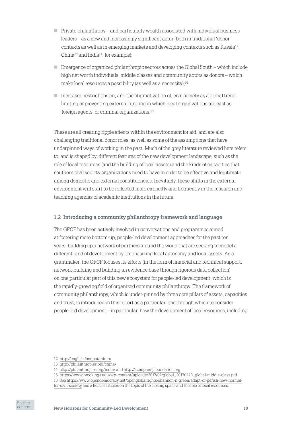- <span id="page-9-0"></span> $\Box$  Private philanthropy – and particularly wealth associated with individual business leaders – as a new and increasingly significant actor (both in traditional 'donor' contexts as well as in emerging markets and developing contexts such as Russia12, China13 and India14, for example);
- $\blacksquare$  Emergence of organized philanthropic sectors across the Global South which include high net worth individuals, middle classes and community actors as donors – which make local resources a possibility (as well as a necessity);15
- $\blacksquare$  Increased restrictions on, and the stigmatization of, civil society as a global trend, limiting or preventing external funding in which local organizations are cast as 'foreign agents' or criminal organizations.16

These are all creating ripple effects within the environment for aid, and are also challenging traditional donor roles, as well as some of the assumptions that have underpinned ways of working in the past. Much of the grey literature reviewed here refers to, and is shaped by, different features of the new development landscape, such as the role of local resources (and the building of local assets) and the kinds of capacities that southern civil society organizations need to have in order to be effective and legitimate among domestic and external constituencies. Inevitably, these shifts in the external environment will start to be reflected more explicitly and frequently in the research and teaching agendas of academic institutions in the future.

## **1.2 Introducing a community philanthropy framework and language**

The GFCF has been actively involved in conversations and programmes aimed at fostering more bottom‑up, people‑led development approaches for the past ten years, building up a network of partners around the world that are seeking to model a different kind of development by emphasizing local autonomy and local assets. As a grantmaker, the GFCF focuses its efforts (in the form of financial and technical support, network‑building and building an evidence base through rigorous data collection) on one particular part of this new ecosystem for people‑led development, which is the rapidly‑growing field of organized community philanthropy. The framework of community philanthropy, which is under‑pinned by three core pillars of assets, capacities and trust, is introduced in this report as a particular lens through which to consider people‑led development – in particular, how the development of local resources, including



<sup>12</sup> <http://english.fondpotanin.ru>

<sup>13</sup> <http://philanthropies.org/china/>

<sup>14</sup> <http://philanthropies.org/india/>and<http://azimpremjifoundation.org>

<sup>15</sup> [https://www.brookings.edu/wp-content/uploads/2017/02/global\\_20170228\\_global-middle-class.pdf](https://www.brookings.edu/wp-content/uploads/2017/02/global_20170228_global-middle-class.pdf)

<sup>16</sup> See [https://www.opendemocracy.net/openglobalrights/shannon-n-green/adapt-or-perish-new-normal-](https://www.opendemocracy.net/openglobalrights/shannon-n-green/adapt-or-perish-new-normal-for-civil-society)

[for-civil-society](https://www.opendemocracy.net/openglobalrights/shannon-n-green/adapt-or-perish-new-normal-for-civil-society) and a host of articles on the topic of the closing space and the role of local resources.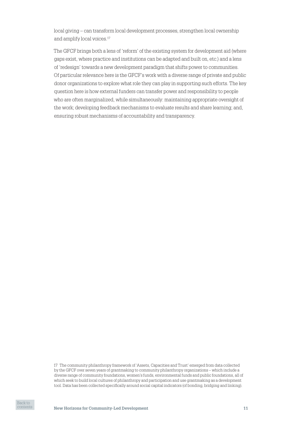local giving – can transform local development processes, strengthen local ownership and amplify local voices.17

The GFCF brings both a lens of 'reform' of the existing system for development aid (where gaps exist, where practice and institutions can be adapted and built on, etc.) and a lens of 'redesign' towards a new development paradigm that shifts power to communities. Of particular relevance here is the GFCF's work with a diverse range of private and public donor organizations to explore what role they can play in supporting such efforts. The key question here is how external funders can transfer power and responsibility to people who are often marginalized, while simultaneously: maintaining appropriate oversight of the work; developing feedback mechanisms to evaluate results and share learning; and, ensuring robust mechanisms of accountability and transparency.

17 The community philanthropy framework of 'Assets, Capacities and Trust' emerged from data collected by the GFCF over seven years of grantmaking to community philanthropy organizations – which include a diverse range of community foundations, women's funds, environmental funds and public foundations, all of which seek to build local cultures of philanthropy and participation and use grantmaking as a development tool. Data has been collected specifically around social capital indicators (of bonding, bridging and linking).

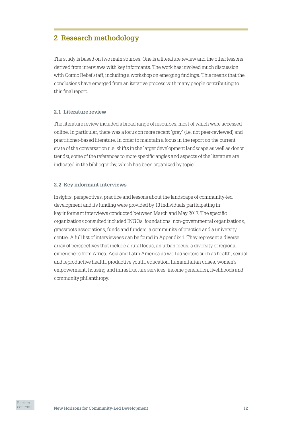# <span id="page-11-0"></span>**2 Research methodology**

The study is based on two main sources. One is a literature review and the other lessons derived from interviews with key informants. The work has involved much discussion with Comic Relief staff, including a workshop on emerging findings. This means that the conclusions have emerged from an iterative process with many people contributing to this final report.

## **2.1 Literature review**

The literature review included a broad range of resources, most of which were accessed online. In particular, there was a focus on more recent 'grey' (i.e. not peer‑reviewed) and practitioner‑based literature. In order to maintain a focus in the report on the current state of the conversation (i.e. shifts in the larger development landscape as well as donor trends), some of the references to more specific angles and aspects of the literature are indicated in the bibliography, which has been organized by topic.

#### **2.2 Key informant interviews**

Insights, perspectives, practice and lessons about the landscape of community‑led development and its funding were provided by 13 individuals participating in key informant interviews conducted between March and May 2017. The specific organizations consulted included INGOs, foundations, non‑governmental organizations, grassroots associations, funds and funders, a community of practice and a university centre. A full list of interviewees can be found in Appendix 1. They represent a diverse array of perspectives that include a rural focus, an urban focus, a diversity of regional experiences from Africa, Asia and Latin America as well as sectors such as health, sexual and reproductive health, productive youth, education, humanitarian crises, women's empowerment, housing and infrastructure services, income generation, livelihoods and community philanthropy.

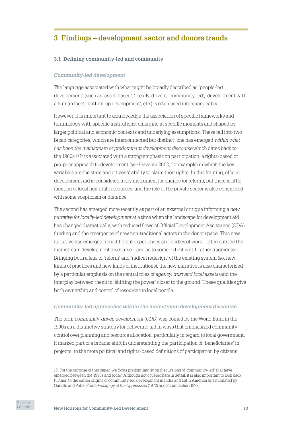# <span id="page-12-0"></span>**3 Findings – development sector and donors trends**

## **3.1 Defining community-led and community**

#### *Community‑led development*

The language associated with what might be broadly described as 'people‑led development' (such as 'asset‑based', 'locally‑driven', 'community‑led', 'development with a human face', 'bottom‑up development', etc.) is often used interchangeably.

However, it is important to acknowledge the association of specific frameworks and terminology with specific institutions, emerging at specific moments and shaped by larger political and economic contexts and underlying assumptions. These fall into two broad categories, which are interconnected but distinct: one has emerged *within what has been the mainstream or predominant development discourse* which dates back to the 1960s.<sup>18</sup> It is associated with a strong emphasis on participation, a rights-based or pro‑poor approach to development (see Gaventa 2002, for example) in which the key variables are the state and citizens' ability to claim their rights. In this framing, official development aid is considered a key instrument for change (or reform), but there is little mention of local non‑state resources, and the role of the private sector is also considered with some scepticism or distance.

The second has emerged more recently as part of an external critique informing a *new narrative for locally‑led development* at a time when the landscape for development aid has changed dramatically, with reduced flows of Official Development Assistance (ODA) funding and the emergence of new non‑traditional actors in the donor space. This new narrative has emerged from different experiences and bodies of work – often outside the mainstream development discourse – and so to some extent is still rather fragmented. Bringing both a lens of 'reform' and 'radical redesign' of the existing system (so, new kinds of practices and new kinds of institutions), the new narrative is also characterized by a particular emphasis on the central roles of *agency, trust and local assets* (and the interplay between them) in 'shifting the power' closer to the ground. These qualities give both ownership and control of resources to local people.

#### *Community‑led approaches within the mainstream development discourse*

The term *community‑driven development* (*CDD*) was coined by the World Bank in the 1990s as a distinctive strategy for delivering aid in ways that emphasized community control over planning and resource allocation, particularly in regard to local government. It marked part of a broader shift in understanding the participation of 'beneficiaries' in projects, to the more political and rights‑based definitions of participation by citizens

<sup>18</sup> For the purpose of this paper, we focus predominantly on discussions of 'community‑led' that have emerged between the 1990s and today. Although not covered here in detail, it is also important to look back further, to the earlier origins of community‑led development in India and Latin America as articulated by Gandhi and Pablo Freire *Pedagogy of the Oppresssed* (1972) and Schumacher (1973).

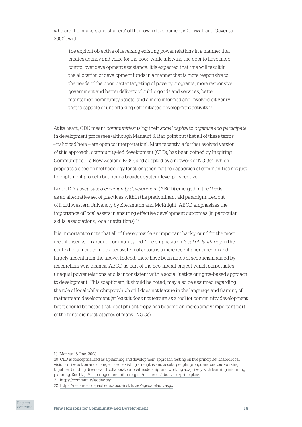who are the 'makers and shapers' of their own development (Cornwall and Gaventa 2000), with:

'the explicit objective of reversing existing power relations in a manner that creates agency and voice for the poor, while allowing the poor to have more control over development assistance. It is expected that this will result in the allocation of development funds in a manner that is more responsive to the needs of the poor, better targeting of poverty programs, more responsive government and better delivery of public goods and services, better maintained community assets, and a more informed and involved citizenry that is capable of undertaking self-initiated development activity.'<sup>19</sup>

At its heart, CDD meant *communities* using their *social capital* to *organize and participate*  in development processes (although Mansuri & Rao point out that all of these terms – italicized here – are open to interpretation). More recently, a further evolved version of this approach, community‑led development (CLD), has been coined by Inspiring Communities, $20$  a New Zealand NGO, and adopted by a network of NGOs $21$  which proposes a specific methodology for strengthening the capacities of communities not just to implement projects but from a broader, system‑level perspective.

Like CDD, *asset‑based community development* (ABCD) emerged in the 1990s as an alternative set of practices within the predominant aid paradigm. Led out of Northwestern University by Kretzmann and McKnight, ABCD emphasizes the importance of local assets in ensuring effective development outcomes (in particular, skills, associations, local institutions).22

It is important to note that all of these provide an important background for the most recent discussion around community‑led. The emphasis on *local philanthropy* in the context of a more complex ecosystem of actors is a more recent phenomenon and largely absent from the above. Indeed, there have been notes of scepticism raised by researchers who dismiss ABCD as part of the neo‑liberal project which perpetuates unequal power relations and is inconsistent with a social justice or rights‑based approach to development. This scepticism, it should be noted, may also be assumed regarding the role of local philanthropy which still does not feature in the language and framing of mainstream development (at least it does not feature as a tool for community development but it should be noted that local philanthropy has become an increasingly important part of the fundraising strategies of many INGOs).

21 <https://communityleddev.org>



<sup>19</sup> Mansuri & Rao, 2003.

<sup>20</sup> CLD is conceptualized as a planning and development approach resting on five principles: shared local visions drive action and change; use of existing strengths and assets; people, groups and sectors working together; building diverse and collaborative local leadership; and working adaptively with learning informing planning. See [http://inspiringcommunities.org.nz/resources/about‑cld/principles/](http://inspiringcommunities.org.nz/resources/about-cld/principles/).

<sup>22</sup> <https://resources.depaul.edu/abcd-institute/Pages/default.aspx>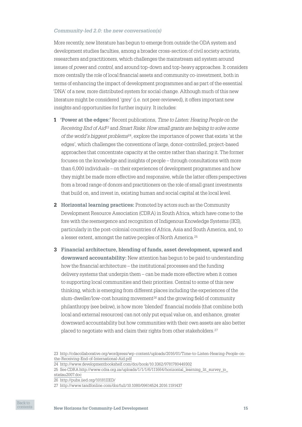#### *Community‑led 2.0: the new conversation(s)*

More recently, new literature has begun to emerge from outside the ODA system and development studies faculties, among a broader cross‑section of civil society activists, researchers and practitioners, which challenges the mainstream aid system around issues of *power* and *control*, and around top‑down and top‑heavy approaches. It considers more centrally the role of local financial assets and community co-investment, both in terms of enhancing the impact of development programmes and as part of the essential 'DNA' of a new, more distributed system for social change. Although much of this new literature might be considered 'grey' (i.e. not peer‑reviewed), it offers important new insights and opportunities for further inquiry. It includes:

- **1 'Power at the edges:'** Recent publications, *Time to Listen: Hearing People on the Receiving End of Aid*23 and *Smart Risks: How small grants are helping to solve some of the world's biggest problems*24, explore the importance of power that exists 'at the edges', which challenges the conventions of large, donor-controlled, project-based approaches that concentrate capacity at the centre rather than sharing it. The former focuses on the knowledge and insights of people – through consultations with more than 6,000 individuals – on their experiences of development programmes and how they might be made more effective and responsive, while the latter offers perspectives from a broad range of donors and practitioners on the role of small grant investments that build on, and invest in, existing human and social capital at the local level.
- **2 Horizontal learning practices:** Promoted by actors such as the Community Development Resource Association (CDRA) in South Africa, which have come to the fore with the reemergence and recognition of Indigenous Knowledge Systems (IKS), particularly in the post‑colonial countries of Africa, Asia and South America, and, to a lesser extent, amongst the native peoples of North America.25
- **3 Financial architecture, blending of funds, asset development, upward and downward accountability:** New attention has begun to be paid to understanding how the financial architecture – the institutional processes and the funding delivery systems that underpin them – can be made more effective when it comes to supporting local communities and their priorities. Central to some of this new thinking, which is emerging from different places including the experiences of the slum-dweller/low-cost housing movement<sup>26</sup> and the growing field of community philanthropy (see below), is how more 'blended' financial models (that combine both local and external resources) can not only put equal value on, and enhance, greater downward accountability but how communities with their own assets are also better placed to negotiate with and claim their rights from other stakeholders.27



<sup>23</sup> [http://cdacollaborative.org/wordpress/wp-content/uploads/2016/01/Time-to-Listen-Hearing-People-on](http://cdacollaborative.org/wordpress/wp-content/uploads/2016/01/Time-to-Listen-Hearing-People-on-the-Receiving-End-of-International-Aid.pdf)[the-Receiving-End-of-International-Aid.pdf](http://cdacollaborative.org/wordpress/wp-content/uploads/2016/01/Time-to-Listen-Hearing-People-on-the-Receiving-End-of-International-Aid.pdf)

<sup>24</sup> <http://www.developmentbookshelf.com/doi/book/10.3362/9781780449302>

<sup>25</sup> See CDRA [http://www.cdra.org.za/uploads/1/1/1/6/111664/horizontal\\_learning\\_lit\\_survey\\_jo\\_](http://www.cdra.org.za/uploads/1/1/1/6/111664/horizontal_learning_lit_survey_jo_stielau2007.doc)

[stielau2007.doc](http://www.cdra.org.za/uploads/1/1/1/6/111664/horizontal_learning_lit_survey_jo_stielau2007.doc)

<sup>26</sup> <http://pubs.iied.org/10181IIED/>

<sup>27</sup> <http://www.tandfonline.com/doi/full/10.1080/09614524.2016.1191437>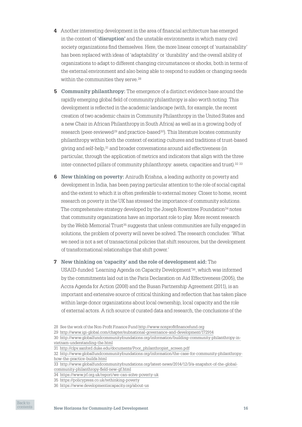- **4** Another interesting development in the area of financial architecture has emerged in the context of **'disruption'** and the unstable environments in which many civil society organizations find themselves. Here, the more linear concept of 'sustainability' has been replaced with ideas of 'adaptability' or 'durability' and the overall ability of organizations to adapt to different changing circumstances or shocks, both in terms of the external environment and also being able to respond to sudden or changing needs within the communities they serve.<sup>28</sup>
- **5 Community philanthropy:** The emergence of a distinct evidence base around the rapidly emerging global field of community philanthropy is also worth noting. This development is reflected in the academic landscape (with, for example, the recent creation of two academic chairs in Community Philanthropy in the United States and a new Chair in African Philanthropy in South Africa) as well as in a growing body of research (peer-reviewed<sup>29</sup> and practice-based<sup>30</sup>). This literature locates community philanthropy within both the context of existing cultures and traditions of trust‑based giving and self‑help,31 and broader conversations around aid effectiveness (in particular, through the application of metrics and indicators that align with the three inter-connected pillars of community philanthropy: assets, capacities and trust).<sup>32 33</sup>
- **6 New thinking on poverty:** Anirudh Krishna, a leading authority on poverty and development in India, has been paying particular attention to the role of social capital and the extent to which it is often preferable to external money. Closer to home, recent research on poverty in the UK has stressed the importance of community solutions. The comprehensive strategy developed by the Joseph Rowntree Foundation $34$  notes that community organizations have an important role to play. More recent research by the Webb Memorial Trust<sup>35</sup> suggests that unless communities are fully engaged in solutions, the problem of poverty will never be solved. The research concludes: 'What we need is not a set of transactional policies that shift resources, but the development of transformational relationships that shift power.'
- **7 New thinking on 'capacity' and the role of development aid:** The USAID‑funded 'Learning Agenda on Capacity Development'36, which was informed by the commitments laid out in the Paris Declaration on Aid Effectiveness (2005), the Accra Agenda for Action (2008) and the Busan Partnership Agreement (2011), is an important and extensive source of critical thinking and reflection that has taken place within large donor organizations about local ownership, local capacity and the role of external actors. A rich source of curated data and research, the conclusions of the

<sup>36</sup> <https://www.developmentiscapacity.org/about-us>



<sup>28</sup> See the work of the Non‑Profit Finance Fund<http://www.nonprofitfinancefund.org>

<sup>29</sup> [http://www.igi‑global.com/chapter/subnational‑governance‑and-development/172914](http://www.igi-global.com/chapter/subnational-governance-and-development/172914)

<sup>30</sup> [http://www.globalfundcommunityfoundations.org/information/building-community-philanthropy-in](http://www.globalfundcommunityfoundations.org/information/building-community-philanthropy-in-vietnam-understanding-the.html)[vietnam-understanding-the.html](http://www.globalfundcommunityfoundations.org/information/building-community-philanthropy-in-vietnam-understanding-the.html)

<sup>31</sup> [http://clpv.sanford.duke.edu/documents/Poor\\_philanthropist\\_screen.pdf](http://clpv.sanford.duke.edu/documents/Poor_philanthropist_screen.pdf)

<sup>32</sup> [http://www.globalfundcommunityfoundations.org/information/the-case-for-community-philanthropy](http://www.globalfundcommunityfoundations.org/information/the-case-for-community-philanthropy-how-the-practice-builds.html)[how-the-practice-builds.html](http://www.globalfundcommunityfoundations.org/information/the-case-for-community-philanthropy-how-the-practice-builds.html)

<sup>33</sup> [http://www.globalfundcommunityfoundations.org/latest-news/2014/12/3/a-snapshot-of-the-global](http://www.globalfundcommunityfoundations.org/latest-news/2014/12/3/a-snapshot-of-the-global-community-philanthropy-field-new-gf.html)[community-philanthropy-field-new-gf.html](http://www.globalfundcommunityfoundations.org/latest-news/2014/12/3/a-snapshot-of-the-global-community-philanthropy-field-new-gf.html)

<sup>34</sup> <https://www.jrf.org.uk/report/we-can-solve-poverty-uk>

<sup>35</sup> <https://policypress.co.uk/rethinking-poverty>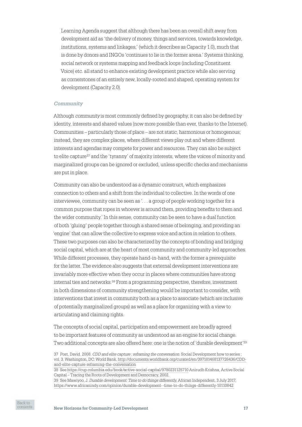Learning Agenda suggest that although there has been an overall shift away from development aid as 'the delivery of money, things and services, towards knowledge, institutions, systems and linkages,' (which it describes as Capacity 1.0), much that is done by donors and INGOs 'continues to lie in the former arena.' Systems thinking, social network or systems mapping and feedback loops (including Constituent Voice) etc. all stand to enhance existing development practice while also serving as cornerstones of an entirely new, locally‑rooted and shaped, operating system for development (Capacity 2.0).

## *Community*

Although *community* is most commonly defined by geography, it can also be defined by identity, interests and shared values (now more possible than ever, thanks to the Internet). Communities – particularly those of place – are not static, harmonious or homogenous; instead, they are complex places, where different views play out and where different interests and agendas may compete for power and resources. They can also be subject to elite capture<sup>37</sup> and the 'tyranny' of majority interests, where the voices of minority and marginalized groups can be ignored or excluded, unless specific checks and mechanisms are put in place.

Community can also be understood as a dynamic construct, which emphasizes connection to others and a shift from the individual to collective. In the words of one interviewee, community can be seen as '. . . a group of people working together for a common purpose that ropes in whoever is around them, providing benefits to them and the wider community.' In this sense, community can be seen to have a dual function of both 'gluing' people together through a shared sense of belonging, and providing an 'engine' that can allow the collective to express voice and action in relation to others. These two purposes can also be characterized by the concepts of bonding and bridging social capital, which are at the heart of most community and community-led approaches. While different processes, they operate hand-in-hand, with the former a prerequisite for the latter. The evidence also suggests that external development interventions are invariably more effective when they occur in places where communities have strong internal ties and networks.38 From a programming perspective, therefore, investment in both dimensions of community strengthening would be important to consider, with interventions that invest in community both as a place to associate (which are inclusive of potentially marginalized groups) as well as a place for organizing with a view to articulating and claiming rights.

The concepts of social capital, participation and empowerment are broadly agreed to be important features of community as understood as an engine for social change. Two additional concepts are also offered here: one is the notion of 'durable development'39



<sup>37</sup> Post, David. 2008. *CDD and elite capture : reframing the conversation*. Social Development how to series ; vol. 3. Washington, DC: World Bank. [http://documents.worldbank.org/curated/en/397181468137726436/CDD](http://documents.worldbank.org/curated/en/397181468137726436/CDD-and-elite-capture-reframing-the-conversation)[and-elite-capture-reframing-the-conversation](http://documents.worldbank.org/curated/en/397181468137726436/CDD-and-elite-capture-reframing-the-conversation)

<sup>38</sup> See [https://cup.columbia.edu/book/active‑social-capital/9780231125710](https://cup.columbia.edu/book/active-social-capital/9780231125710) Anirudh Krishna, Active Social Capital – Tracing the Roots of Development and Democracy, 2002.

<sup>39</sup> See Mawiyoo, J. *Durable development: Time to do things differently,* African Independent, 3 July 2017, <https://www.africanindy.com/opinion/durable-development--time-to-do-things-differently-10110842>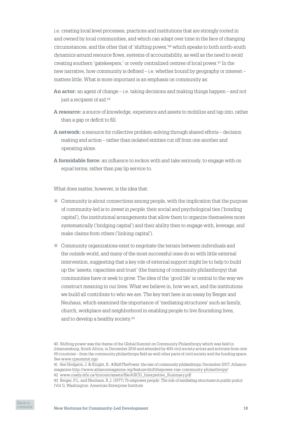i.e. creating local level processes, practices and institutions that are strongly rooted in and owned by local communities, and which can adapt over time in the face of changing circumstances, and the other that of 'shifting power,'<sup>40</sup> which speaks to both north-south dynamics around resource flows, systems of accountability, as well as the need to avoid creating southern 'gatekeepers,' or overly centralized centres of local power.41 In the new narrative, how community is defined – i.e. whether bound by geography or interest – matters little. What is more important is an emphasis on community as:

- **An actor:** an agent of change i.e. taking decisions and making things happen and not just a recipient of aid.<sup>42</sup>
- **A resource:** a source of knowledge, experience and assets to mobilize and tap into, rather than a gap or deficit to fill.
- **A network:** a resource for collective problem‑solving through shared efforts decision making and action – rather than isolated entities cut off from one another and operating alone.
- **A formidable force:** an influence to reckon with and take seriously, to engage with on equal terms, rather than pay lip service to.

What does matter, however, is the idea that:

- $\Box$  Community is about connections among people, with the implication that the purpose of community‑led is to *invest in people*, their social and psychological ties ('bonding capital'), the institutional arrangements that allow them to organize themselves more systematically ('bridging capital') and their ability then to engage with, leverage, and make claims from others ('linking capital').
- $\Box$  Community organizations exist to negotiate the terrain between individuals and the outside world, and many of the most successful ones do so with little external intervention, suggesting that a key role of external support might be to help to build up the 'assets, capacities and trust' (the framing of community philanthropy) that communities have or seek to grow. The idea of the 'good life' is central to the way we construct meaning in our lives. What we believe in, how we act, and the institutions we build all contribute to who we are. The key text here is an essay by Berger and Neuhaus, which examined the importance of 'mediating structures' such as family, church, workplace and neighborhood in enabling people to live flourishing lives, and to develop a healthy society.43

<sup>43</sup> Berger, P.L. and Neuhaus, R.J. (1977) *To empower people: The role of mediating structures in public policy* (Vol 1), Washington: American Enterprise Institute



<sup>40</sup> Shifting power was the theme of the Global Summit on Community Philanthropy which was held in Johannesburg, South Africa, in December 2016 and attended by 400 civil society actors and activists from over 60 countries – from the community philanthropy field as well other parts of civil society and the funding space. See [www.cpsummit.ngo](http://www.cpsummit.ngo)

<sup>41</sup> See Hodgson, J. & Knight, B., #*ShiftThePower: the rise of community philanthropy,* December 2017, Alliance magazine<http://www.alliancemagazine.org/feature/shiftthepower-rise-community-philanthropy/>

<sup>42</sup> [www.coady.stfx.ca/tinroom/assets/file/ABCD\\_Interpretive\\_Summary.pdf](http://www.coady.stfx.ca/tinroom/assets/file/ABCD_Interpretive_Summary.pdf)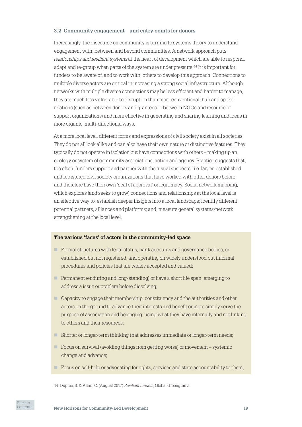## <span id="page-18-0"></span>**3.2 Community engagement – and entry points for donors**

Increasingly, the discourse on community is turning to systems theory to understand engagement with, between and beyond communities. A network approach puts *relationships and resilient systems* at the heart of development which are able to respond, adapt and re‑group when parts of the system are under pressure.44 It is important for funders to be aware of, and to work with, others to develop this approach. Connections to multiple diverse actors are critical in increasing a strong social infrastructure. Although networks with multiple diverse connections may be less efficient and harder to manage, they are much less vulnerable to disruption than more conventional 'hub and spoke' relations (such as between donors and grantees or between NGOs and resource or support organizations) and more effective in generating and sharing learning and ideas in more organic, multi‑directional ways.

At a more local level, different forms and expressions of civil society exist in all societies. They do not all look alike and can also have their own nature or distinctive features. They typically do not operate in isolation but have connections with others – making up an ecology or system of community associations, action and agency. Practice suggests that, too often, funders support and partner with the 'usual suspects,' i.e. larger, established and registered civil society organizations that have worked with other donors before and therefore have their own 'seal of approval' or legitimacy. Social network mapping, which explores (and seeks to grow) connections and relationships at the local level is an effective way to: establish deeper insights into a local landscape; identify different potential partners, alliances and platforms; and, measure general systems/network strengthening at the local level.

#### **The various 'faces' of actors in the community-led space**

- $\blacksquare$  Formal structures with legal status, bank accounts and governance bodies, or established but not registered, and operating on widely understood but informal procedures and policies that are widely accepted and valued;
- Permanent (enduring and long-standing) or have a short life span, emerging to address a issue or problem before dissolving;
- n Capacity to engage their membership, constituency and the authorities and other actors on the ground to advance their interests and benefit or more simply serve the purpose of association and belonging, using what they have internally and not linking to others and their resources;
- Shorter or longer-term thinking that addresses immediate or longer-term needs;
- n Focus on survival (avoiding things from getting worse) or movement systemic change and advance;
- $\blacksquare$  Focus on self-help or advocating for rights, services and state accountability to them;

44 Dupree, S. & Allan, C. (August 2017) *Resilient funders*, Global Greengrants

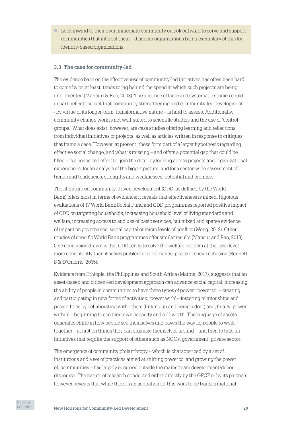<span id="page-19-0"></span> $\blacksquare$  Look inward to their own immediate community or look outward to serve and support communities that interest them – diaspora organizations being exemplary of this for identity‑based organizations.

## **3.3 The case for community-led**

The evidence base on the effectiveness of community‑led initiatives has often been hard to come by or, at least, tends to lag behind the speed at which such projects are being implemented (Mansuri & Rao, 2003). The absence of large and systematic studies could, in part, reflect the fact that community strengthening and community-led development – by virtue of its longer‑term, transformative nature – is hard to assess. Additionally, community change work is not well‑suited to scientific studies and the use of 'control groups.' What does exist, however, are case studies offering learning and reflections from individual initiatives or projects, as well as articles written in response to critiques that frame a case. However, at present, these form part of a larger hypothesis regarding effective social change, and what is missing – and offers a potential gap that could be filled – is a concerted effort to 'join the dots', by looking across projects and organizational experiences, for an analysis of the bigger picture, and for a sector-wide assessment of trends and tendencies, strengths and weaknesses, potential and promise.

The literature on community-driven development (CDD, as defined by the World Bank) offers most in terms of evidence: it reveals that effectiveness is mixed. Rigorous evaluations of 17 World Bank Social Fund and CDD programmes reported positive impact of CDD on targeting households, increasing household level of living standards and welfare, increasing access to and use of basic services, but mixed and sparse evidence of impact on governance, social capital or micro levels of conflict (Wong, 2012). Other studies of specific World Bank programmes offer similar results (Mansur and Rao, 2013). One conclusion drawn is that CDD tends to solve the welfare problem at the local level more consistently than it solves problem of governance, peace or social cohesion (Bennett, S & D'Onofrio, 2015).

Evidence from Ethiopia, the Philippines and South Africa (Mathie, 2017), suggests that an asset‑based and citizen‑led development approach can advance social capital, increasing the ability of people in communities to have three types of power: 'power to' – creating and participating in new forms of activities; 'power with' – fostering relationships and possibilities by collaborating with others (linking up and being a doer) and, finally 'power within' – beginning to see their own capacity and self‑worth. The language of assets generates shifts in how people see themselves and paves the way for people to work together – at first on things they can organize themselves around – and then to take on initiatives that require the support of others such as NGOs, government, private sector.

The emergence of community philanthropy – which is characterized by a set of institutions and a set of practices aimed at shifting power to, and growing the power of, communities – has largely occurred outside the mainstream development/donor discourse. The nature of research conducted either directly by the GFCF or by its partners, however, reveals that while there is an aspiration for this work to be transformational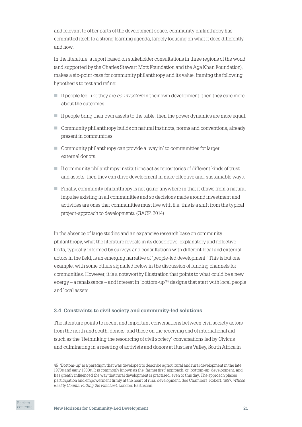<span id="page-20-0"></span>and relevant to other parts of the development space, community philanthropy has committed itself to a strong learning agenda, largely focusing on what it does differently and how.

In the literature, a report based on stakeholder consultations in three regions of the world (and supported by the Charles Stewart Mott Foundation and the Aga Khan Foundation), makes a six‑point case for community philanthropy and its value, framing the following hypothesis to test and refine:

- If people feel like they are *co–investors* in their own development, then they care more about the outcomes.
- $\blacksquare$  If people bring their own assets to the table, then the power dynamics are more equal.
- $\Box$  Community philanthropy builds on natural instincts, norms and conventions, already present in communities.
- $\Box$  Community philanthropy can provide a 'way in' to communities for larger, external donors.
- n If community philanthropy institutions act as repositories of different kinds of trust and assets, then they can drive development in more effective and, sustainable ways.
- $\Box$  Finally, community philanthropy is not going anywhere in that it draws from a natural impulse existing in all communities and so decisions made around investment and activities are ones that communities must live with (i.e. this is a shift from the typical project‑approach to development). (GACP, 2014)

In the absence of large studies and an expansive research base on community philanthropy, what the literature reveals in its descriptive, explanatory and reflective texts, typically informed by surveys and consultations with different local and external actors in the field, is an emerging narrative of 'people‑led development.' This is but one example, with some others signalled below in the discussion of funding channels for communities. However, it is a noteworthy illustration that points to what could be a new energy – a renaissance – and interest in 'bottom‑up'45 designs that start with local people and local assets.

## **3.4 Constraints to civil society and community-led solutions**

The literature points to recent and important conversations between civil society actors from the north and south, donors, and those on the receiving end of international aid (such as the 'Rethinking the resourcing of civil society' conversations led by Civicus and culminating in a meeting of activists and donors at Rustlers Valley, South Africa in

<sup>45</sup> 'Bottom‑up' is a paradigm that was developed to describe agricultural and rural development in the late 1970s and early 1980s. It is commonly known as the 'farmer first' approach, or 'bottom‑up' development, and has greatly influenced the way that rural development is practised, even to this day. The approach places participation and empowerment firmly at the heart of rural development. See Chambers, Robert. 1997. *Whose Reality Counts: Putting the First Last.* London: Earthscan.

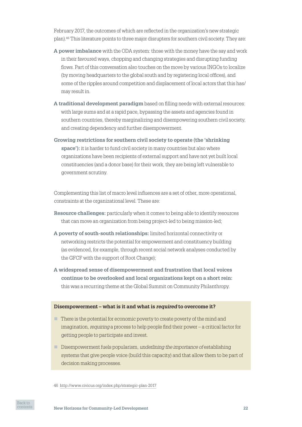February 2017, the outcomes of which are reflected in the organization's new strategic plan).46 This literature points to three major disrupters for southern civil society. They are:

- **A power imbalance** with the ODA system: those with the money have the say and work in their favoured ways, chopping and changing strategies and disrupting funding flows. Part of this conversation also touches on the move by various INGOs to localize (by moving headquarters to the global south and by registering local offices), and some of the ripples around competition and displacement of local actors that this has/ may result in.
- **A traditional development paradigm** based on filling needs with external resources: with large sums and at a rapid pace, bypassing the assets and agencies found in southern countries, thereby marginalizing and disempowering southern civil society, and creating dependency and further disempowerment.
- **Growing restrictions for southern civil society to operate (the 'shrinking space'):** it is harder to fund civil society in many countries but also where organizations have been recipients of external support and have not yet built local constituencies (and a donor base) for their work, they are being left vulnerable to government scrutiny.

Complementing this list of macro level influences are a set of other, more operational, constraints at the organizational level. These are:

- **Resource challenges:** particularly when it comes to being able to identify resources that can move an organization from being project-led to being mission-led;
- **A poverty of south-south relationships:** limited horizontal connectivity or networking restricts the potential for empowerment and constituency building (as evidenced, for example, through recent social network analyses conducted by the GFCF with the support of Root Change);
- **A widespread sense of disempowerment and frustration that local voices continue to be overlooked and local organizations kept on a short rein:** this was a recurring theme at the Global Summit on Community Philanthropy.

#### **Disempowerment – what is it and what is** *required* **to overcome it?**

- $\blacksquare$  There is the potential for economic poverty to create poverty of the mind and imagination, *requiring* a process to help people find their power – a critical factor for getting people to participate and invest.
- n Disempowerment fuels popularism, *underlining the importance of* establishing systems that give people voice (build this capacity) and that allow them to be part of decision making processes.

46 <http://www.civicus.org/index.php/strategic-plan-2017>

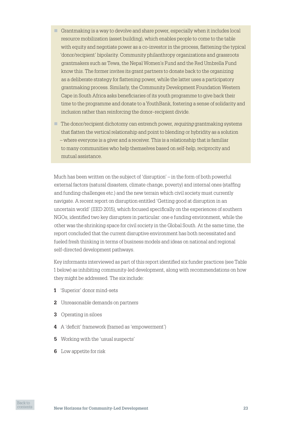- Grantmaking is a way to devolve and share power, especially when it includes local resource mobilization (asset building), which enables people to come to the table with equity and negotiate power as a co-investor in the process, flattening the typical 'donor/recipient' bipolarity. Community philanthropy organizations and grassroots grantmakers such as Tewa, the Nepal Women's Fund and the Red Umbrella Fund know this. The former invites its grant partners to donate back to the organizing as a deliberate strategy for flattening power, while the latter uses a participatory grantmaking process. Similarly, the Community Development Foundation Western Cape in South Africa asks beneficiaries of its youth programme to give back their time to the programme and donate to a YouthBank, fostering a sense of solidarity and inclusion rather than reinforcing the donor–recipient divide.
- n The donor/recipient dichotomy can entrench power, *requiring* grantmaking systems that flatten the vertical relationship and point to blending or hybridity as a solution – where everyone is a giver and a receiver. This is a relationship that is familiar to many communities who help themselves based on self-help, reciprocity and mutual assistance.

Much has been written on the subject of 'disruption' – in the form of both powerful external factors (natural disasters, climate change, poverty) and internal ones (staffing and funding challenges etc.) and the new terrain which civil society must currently navigate. A recent report on disruption entitled 'Getting good at disruption in an uncertain world' (IIED 2015), which focused specifically on the experiences of southern NGOs, identified two key disrupters in particular: one e funding environment, while the other was the shrinking space for civil society in the Global South. At the same time, the report concluded that the current disruptive environment has both necessitated and fueled fresh thinking in terms of business models and ideas on national and regional self-directed development pathways.

Key informants interviewed as part of this report identified six funder practices (see Table 1 below) as inhibiting community‑led development, along with recommendations on how they might be addressed. The six include:

- **1** 'Superior' donor mind‑sets
- **2** Unreasonable demands on partners
- **3** Operating in siloes
- **4** A 'deficit' framework (framed as 'empowerment')
- **5** Working with the 'usual suspects'
- **6** Low appetite for risk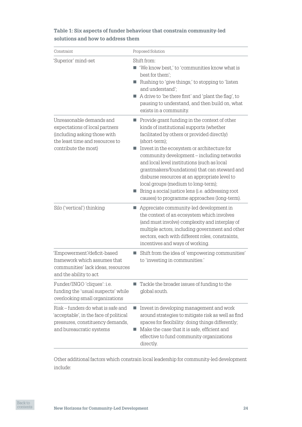| Constraint                                                                                                                                            | Proposed Solution                                                                                                                                                                                                                                                                                                                                                                                                                                                                                                                                                  |
|-------------------------------------------------------------------------------------------------------------------------------------------------------|--------------------------------------------------------------------------------------------------------------------------------------------------------------------------------------------------------------------------------------------------------------------------------------------------------------------------------------------------------------------------------------------------------------------------------------------------------------------------------------------------------------------------------------------------------------------|
| 'Superior' mind-set                                                                                                                                   | Shift from:<br>'We know best,' to 'communities know what is<br>best for them';<br>Rushing to 'give things,' to stopping to 'listen<br>and understand';<br>A drive to 'be there first' and 'plant the flag', to<br>pausing to understand, and then build on, what<br>exists in a community.                                                                                                                                                                                                                                                                         |
| Unreasonable demands and<br>expectations of local partners<br>(including asking those with<br>the least time and resources to<br>contribute the most) | $\blacksquare$ Provide grant funding in the context of other<br>kinds of institutional supports (whether<br>facilitated by others or provided directly)<br>(short-term);<br>Invest in the ecosystem or architecture for<br>community development - including networks<br>and local level institutions (such as local<br>grantmakers/foundations) that can steward and<br>disburse resources at an appropriate level to<br>local groups (medium to long-term);<br>Bring a social justice lens (i.e. addressing root<br>causes) to programme approaches (long-term). |
| Silo ('vertical') thinking                                                                                                                            | Appreciate community-led development in<br>the context of an ecosystem which involves<br>(and must involve) complexity and interplay of<br>multiple actors, including government and other<br>sectors, each with different roles, constraints,<br>incentives and ways of working.                                                                                                                                                                                                                                                                                  |
| 'Empowerment'/deficit-based<br>framework which assumes that<br>communities' lack ideas, resources<br>and the ability to act                           | Shift from the idea of 'empowering communities'<br>to 'investing in communities.'                                                                                                                                                                                                                                                                                                                                                                                                                                                                                  |
| Funder/INGO 'cliques': i.e.<br>funding the 'usual suspects' while<br>overlooking small organizations                                                  | Tackle the broader issues of funding to the<br>a.<br>global south.                                                                                                                                                                                                                                                                                                                                                                                                                                                                                                 |
| Risk – funders do what is safe and<br>'acceptable', in the face of political<br>pressures, constituency demands,<br>and bureaucratic systems          | Invest in developing management and work<br>$\mathcal{L}_{\mathcal{A}}$<br>around strategies to mitigate risk as well as find<br>spaces for flexibility: doing things differently;<br>Make the case that it is safe, efficient and<br>a.<br>effective to fund community organizations<br>directly.                                                                                                                                                                                                                                                                 |

**Table 1: Six aspects of funder behaviour that constrain community-led solutions and how to address them**

Other additional factors which constrain local leadership for community‑led development include: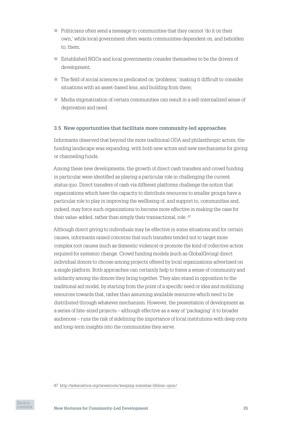- <span id="page-24-0"></span> $\Box$  Politicians often send a message to communities that they cannot 'do it on their own,' while local government often wants communities dependent on, and beholden to, them;
- n Established NGOs and local governments consider themselves to be the drivers of development;
- n The field of social sciences is predicated on 'problems,' making it difficult to consider situations with an asset-based lens, and building from there;
- Media stigmatization of certain communities can result in a self-internalized sense of deprivation and need.

## **3.5 New opportunities that facilitate more community-led approaches**

Informants observed that beyond the more traditional ODA and philanthropic actors, the funding landscape was expanding, with both new actors and new mechanisms for giving or channeling funds.

Among these new developments, the growth of direct cash transfers and crowd funding in particular were identified as playing a particular role in challenging the current status quo. Direct transfers of cash via different platforms challenge the notion that organizations which have the capacity to distribute resources to smaller groups have a particular role to play in improving the wellbeing of, and support to, communities and, indeed, may force such organizations to become more effective in making the case for their value-added, rather than simply their transactional, role .47

Although direct giving to individuals may be effective in some situations and for certain causes, informants raised concerns that such transfers tended not to target more complex root causes (such as domestic violence) or promote the kind of collective action required for systemic change. Crowd funding models (such as GlobalGiving) direct individual donors to choose among projects offered by local organizations advertised on a single platform. Both approaches can certainly help to foster a sense of community and solidarity among the donors they bring together. They also stand in opposition to the traditional aid model, by starting from the point of a specific need or idea and mobilizing resources towards that, rather than assuming available resources which need to be distributed through whatever mechanism. However, the presentation of development as a series of bite‑sized projects – although effective as a way of 'packaging' it to broader audiences – runs the risk of sidelining the importance of local institutions with deep roots and long-term insights into the communities they serve.

<sup>47</sup> <http://adesoafrica.org/newsroom/keeping-somalias-lifeline-open/>

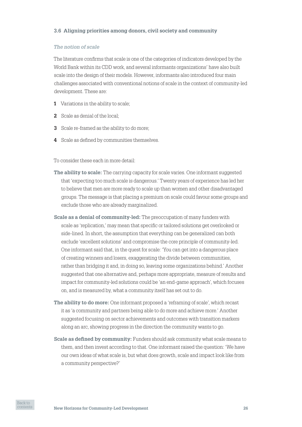## <span id="page-25-0"></span>**3.6 Aligning priorities among donors, civil society and community**

#### *The notion of scale*

The literature confirms that scale is one of the categories of indicators developed by the World Bank within its CDD work, and several informants organizations' have also built scale into the design of their models. However, informants also introduced four main challenges associated with conventional notions of scale in the context of community-led development. These are:

- **1** Variations in the ability to scale;
- **2** Scale as denial of the local;
- **3** Scale re-framed as the ability to do more;
- **4** Scale as defined by communities themselves.

To consider these each in more detail:

- **The ability to scale:** The carrying capacity for scale varies. One informant suggested that 'expecting too much scale is dangerous.' Twenty years of experience has led her to believe that men are more ready to scale up than women and other disadvantaged groups. The message is that placing a premium on scale could favour some groups and exclude those who are already marginalized.
- **Scale as a denial of community-led:** The preoccupation of many funders with scale as 'replication,' may mean that specific or tailored solutions get overlooked or side-lined. In short, the assumption that everything can be generalized can both exclude 'excellent solutions' and compromise the core principle of community-led. One informant said that, in the quest for scale: 'You can get into a dangerous place of creating winners and losers, exaggerating the divide between communities, rather than bridging it and, in doing so, leaving some organizations behind.' Another suggested that one alternative and, perhaps more appropriate, measure of results and impact for community‑led solutions could be 'an end‑game approach', which focuses on, and is measured by, what a community itself has set out to do.
- **The ability to do more:** One informant proposed a 'reframing of scale', which recast it as 'a community and partners being able to do more and achieve more.' Another suggested focusing on sector achievements and outcomes with transition markers along an arc, showing progress in the direction the community wants to go.
- **Scale as defined by community:** Funders should ask community what scale means to them, and then invest according to that. One informant raised the question: 'We have our own ideas of what scale is, but what does growth, scale and impact look like from a community perspective?'

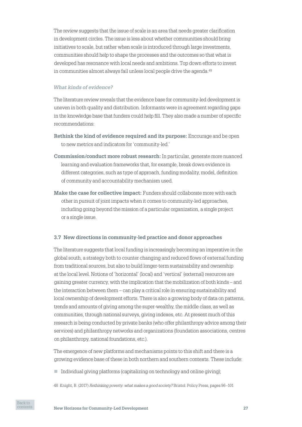<span id="page-26-0"></span>The review suggests that the issue of scale is an area that needs greater clarification in development circles. The issue is less about whether communities should bring initiatives to scale, but rather when scale is introduced through large investments, communities should help to shape the processes and the outcomes so that what is developed has resonance with local needs and ambitions. Top down efforts to invest in communities almost always fail unless local people drive the agenda.<sup>48</sup>

## *What kinds of evidence?*

The literature review reveals that the evidence base for community-led development is uneven in both quality and distribution. Informants were in agreement regarding gaps in the knowledge base that funders could help fill. They also made a number of specific recommendations:

- **Rethink the kind of evidence required and its purpose:** Encourage and be open to new metrics and indicators for 'community‑led.'
- **Commission/conduct more robust research:** In particular, generate more nuanced learning and evaluation frameworks that, for example, break down evidence in different categories, such as type of approach, funding modality, model, definition of community and accountability mechanism used.
- **Make the case for collective impact:** Funders should collaborate more with each other in pursuit of joint impacts when it comes to community‑led approaches, including going beyond the mission of a particular organization, a single project or a single issue.

#### **3.7 New directions in community-led practice and donor approaches**

The literature suggests that local funding is increasingly becoming an imperative in the global south, a strategy both to counter changing and reduced flows of external funding from traditional sources, but also to build longer-term sustainability and ownership at the local level. Notions of 'horizontal' (local) and 'vertical' (external) resources are gaining greater currency, with the implication that the mobilization of both kinds – and the interaction between them – can play a critical role in ensuring sustainability and local ownership of development efforts. There is also a growing body of data on patterns, trends and amounts of giving among the super‑wealthy, the middle class, as well as communities, through national surveys, giving indexes, etc. At present much of this research is being conducted by private banks (who offer philanthropy advice among their services) and philanthropy networks and organizations (foundation associations, centres on philanthropy, national foundations, etc.).

The emergence of new platforms and mechanisms points to this shift and there is a growing evidence base of these in both northern and southern contexts. These include:

- $\blacksquare$  Individual giving platforms (capitalizing on technology and online giving);
- 48 Knight, B. (2017) *Rethinking poverty: what makes a good society?* Bristol: Policy Press, pages 96–101

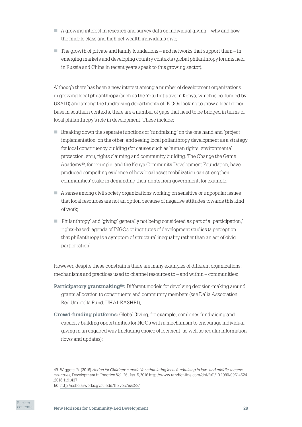- $\Box$  A growing interest in research and survey data on individual giving why and how the middle class and high net wealth individuals give;
- $\blacksquare$  The growth of private and family foundations and networks that support them in emerging markets and developing country contexts (global philanthropy forums held in Russia and China in recent years speak to this growing sector).

Although there has been a new interest among a number of development organizations in growing local philanthropy (such as the Yetu Initiative in Kenya, which is co-funded by USAID) and among the fundraising departments of INGOs looking to grow a local donor base in southern contexts, there are a number of gaps that need to be bridged in terms of local philanthropy's role in development. These include:

- $\Box$  Breaking down the separate functions of 'fundraising' on the one hand and 'project implementation' on the other, and seeing local philanthropy development as a strategy for local constituency building (for causes such as human rights, environmental protection, etc.), rights claiming and community building. The Change the Game Academy49, for example, and the Kenya Community Development Foundation, have produced compelling evidence of how local asset mobilization can strengthen communities' stake in demanding their rights from government, for example.
- $\Box$  A sense among civil society organizations working on sensitive or unpopular issues that local resources are not an option because of negative attitudes towards this kind of work;
- n 'Philanthropy' and 'giving' generally not being considered as part of a 'participation,' 'rights‑based' agenda of INGOs or institutes of development studies (a perception that philanthropy is a symptom of structural inequality rather than an act of civic participation).

However, despite these constraints there are many examples of different organizations, mechanisms and practices used to channel resources to – and within – communities:

- **Participatory grantmaking<sup>50</sup>:** Different models for devolving decision-making around grants allocation to constituents and community members (see Dalia Association, Red Umbrella Fund, UHAI‑EASHRI);
- **Crowd-funding platforms:** GlobalGiving, for example, combines fundraising and capacity building opportunities for NGOs with a mechanism to encourage individual giving in an engaged way (including choice of recipient, as well as regular information flows and updates);

<sup>50</sup> <http://scholarworks.gvsu.edu/tfr/vol7/iss3/8/>



<sup>49</sup> Wiggers, R. (2016) *Action for Children: a model for stimulating local fundraising in low‑ and middle‑income countries*, [Development in Practice](http://www.tandfonline.com/toc/cdip20/26/5) Vol. 26 , Iss. 5,2016 [http://www.tandfonline.com/doi/full/10.1080/09614524](http://www.tandfonline.com/doi/full/10.1080/09614524.2016.1191437) [.2016.1191437](http://www.tandfonline.com/doi/full/10.1080/09614524.2016.1191437)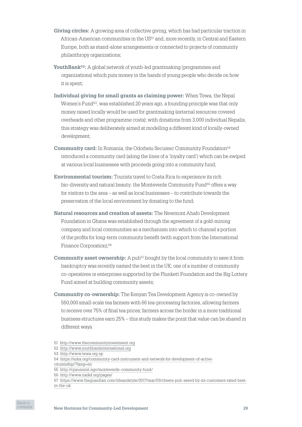- **Giving circles:** A growing area of collective giving, which has had particular traction in African‑American communities in the US51 and, more recently, in Central and Eastern Europe, both as stand‑alone arrangements or connected to projects of community philanthropy organizations;
- **YouthBank**<sup>52</sup>: A global network of youth-led grantmaking (programmes and organizations) which puts money in the hands of young people who decide on how it is spent;
- **Individual giving for small grants as claiming power:** When Tewa, the Nepal Women's Fund<sup>53</sup>, was established 20 years ago, a founding principle was that only money raised locally would be used for grantmaking (external resources covered overheads and other programme costs); with donations from 3,000 individual Nepalis, this strategy was deliberately aimed at modelling a different kind of locally‑owned development;
- **Community card:** In Romania, the Odorheiu Secuiesc Community Foundation<sup>54</sup> introduced a community card (along the lines of a 'loyalty card') which can be swiped at various local businesses with proceeds going into a community fund;
- **Environmental tourism:** Tourists travel to Costa Rica to experience its rich bio-diversity and natural beauty; the Monteverde Community Fund<sup>55</sup> offers a way for visitors to the area – as well as local businesses – to contribute towards the preservation of the local environment by donating to the fund;
- **Natural resources and creation of assets:** The Newmont Ahafo Development Foundation in Ghana was established through the agreement of a gold‑mining company and local communities as a mechanism into which to channel a portion of the profits for long‑term community benefit (with support from the International Finance Corporation);<sup>56</sup>
- **Community asset ownership:** A pub<sup>57</sup> bought by the local community to save it from bankruptcy was recently named the best in the UK; one of a number of community co‑operatives or enterprises supported by the Plunkett Foundation and the Big Lottery Fund aimed at building community assets;
- **Community co-ownership:** The Kenyan Tea Development Agency is co-owned by 550,000 small‑scale tea farmers with 66 tea‑processing factories, allowing farmers to receive over 75% of final tea prices; farmers across the border in a more traditional business structures earn 25% – this study makes the point that value can be shared in different ways.



<sup>51</sup> <http://www.thecommunityinvestment.org>

<sup>52</sup> <http://www.youthbankinternational.org>

<sup>53</sup> <http://www.tewa.org.np>

<sup>54</sup> [https://szka.org/community‑card-instrument-and-network-for-development-of-active-](https://szka.org/community-card-instrument-and-network-for-development-of-active-citizenship/?lang=en)

[citizenship/?lang=en](https://szka.org/community-card-instrument-and-network-for-development-of-active-citizenship/?lang=en)

<sup>55</sup> <http://cpsummit.ngo/monteverde-community-fund/>

<sup>56</sup> <http://www.nadef.org/pages/>

<sup>57</sup> [https://www.theguardian.com/lifeandstyle/2017/mar/03/cheers-pub-saved-by-its-customers-rated-best](https://www.theguardian.com/lifeandstyle/2017/mar/03/cheers-pub-saved-by-its-customers-rated-best-in-the-uk)[in-the-uk](https://www.theguardian.com/lifeandstyle/2017/mar/03/cheers-pub-saved-by-its-customers-rated-best-in-the-uk)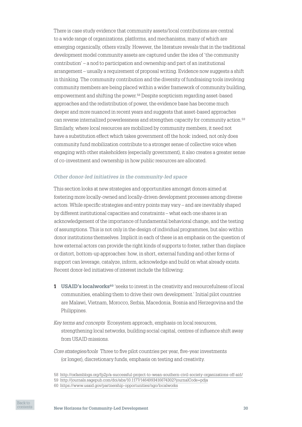There is case study evidence that community assets/local contributions are central to a wide range of organizations, platforms, and mechanisms, many of which are emerging organically, others virally. However, the literature reveals that in the traditional development model community assets are captured under the idea of 'the community contribution' – a nod to participation and ownership and part of an institutional arrangement – usually a requirement of proposal writing. Evidence now suggests a shift in thinking. The community contribution and the diversity of fundraising tools involving community members are being placed within a wider framework of community building, empowerment and shifting the power.58 Despite scepticism regarding asset‑based approaches and the redistribution of power, the evidence base has become much deeper and more nuanced in recent years and suggests that asset‑based approaches can reverse internalized powerlessness and strengthen capacity for community action.59 Similarly, where local resources are mobilized by community members, it need not have a substitution effect which takes government off the hook: indeed, not only does community fund mobilization contribute to a stronger sense of collective voice when engaging with other stakeholders (especially government), it also creates a greater sense of co‑investment and ownership in how public resources are allocated.

## *Other donor‑led initiatives in the community‑led space*

This section looks at new strategies and opportunities amongst donors aimed at fostering more locally‑owned and locally‑driven development processes among diverse actors. While specific strategies and entry points may vary – and are inevitably shaped by different institutional capacities and constraints – what each one shares is an acknowledgement of the importance of fundamental behavioral change, and the testing of assumptions. This is not only in the design of individual programmes, but also within donor institutions themselves. Implicit in each of these is an emphasis on the question of how external actors can provide the right kinds of supports to foster, rather than displace or distort, bottom‑up approaches: how, in short, external funding and other forms of support can leverage, catalyze, inform, acknowledge and build on what already exists. Recent donor‑led initiatives of interest include the following:

- **1 USAID's localworks<sup>60</sup>** 'seeks to invest in the creativity and resourcefulness of local communities, enabling them to drive their own development.' Initial pilot countries are Malawi, Vietnam, Morocco, Serbia, Macedonia, Bosnia and Herzegovina and the Philippines.
- *Key terms and concepts* Ecosystem approach, emphasis on local resources, strengthening local networks, building social capital, centres of influence shift away from USAID missions.

*Core strategies/tools* Three to five pilot countries per year, five-year investments (or longer), discretionary funds, emphasis on testing and creativity.



<sup>58</sup> <http://oxfamblogs.org/fp2p/a-successful-project-to-wean-southern-civil-society-organizations-off-aid/>

<sup>59</sup> <http://journals.sagepub.com/doi/abs/10.1177/1464993416674302?journalCode=pdja>

<sup>60</sup> <https://www.usaid.gov/partnership-opportunities/ngo/localworks>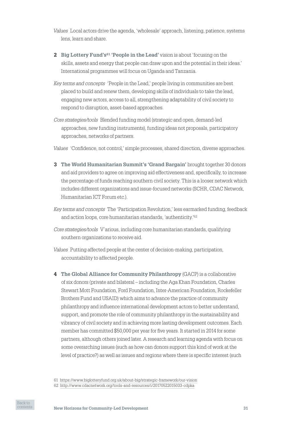*Values* Local actors drive the agenda, 'wholesale' approach, listening, patience, systems lens, learn and share.

- **2 Big Lottery Fund's61 'People in the Lead'** vision is about 'focusing on the skills, assets and energy that people can draw upon and the potential in their ideas.' International programmes will focus on Uganda and Tanzania.
- *Key terms and concepts* 'People in the Lead,' people living in communities are best placed to build and renew them, developing skills of individuals to take the lead, engaging new actors, access to all, strengthening adaptability of civil society to respond to disruption, asset‑based approaches.
- *Core strategies/tools* Blended funding model (strategic and open, demand‑led approaches, new funding instruments), funding ideas not proposals, participatory approaches, networks of partners.

*Values* 'Confidence, not control,' simple processes, shared direction, diverse approaches.

**3 The World Humanitarian Summit's 'Grand Bargain'** brought together 30 donors and aid providers to agree on improving aid effectiveness and, specifically, to increase the percentage of funds reaching southern civil society. This is a looser network which includes different organizations and issue‑focused networks (SCHR, CDAC Network, Humanitarian ICT Forum etc.).

*Key terms and concepts* The 'Participation Revolution,' less earmarked funding, feedback and action loops, core humanitarian standards, 'authenticity.'62

*Core strategies/tools* V`arious, including core humanitarian standards, qualifying southern organizations to receive aid.

- *Values* Putting affected people at the center of decision‑making, participation, accountability to affected people.
- **4 The Global Alliance for Community Philanthropy** (GACP) is a collaborative of six donors (private and bilateral – including the Aga Khan Foundation, Charles Stewart Mott Foundation, Ford Foundation, Inter‑American Foundation, Rockefeller Brothers Fund and USAID) which aims to advance the practice of community philanthropy and influence international development actors to better understand, support, and promote the role of community philanthropy in the sustainability and vibrancy of civil society and in achieving more lasting development outcomes. Each member has committed \$50,000 per year for five years. It started in 2014 for some partners, although others joined later. A research and learning agenda with focus on some overarching issues (such as how can donors support this kind of work at the level of practice?) as well as issues and regions where there is specific interest (such

<sup>61</sup> <https://www.biglotteryfund.org.uk/about-big/strategic-framework/our-vision> 62 <http://www.cdacnetwork.org/tools-and-resources/i/20170522015033-cdpka>

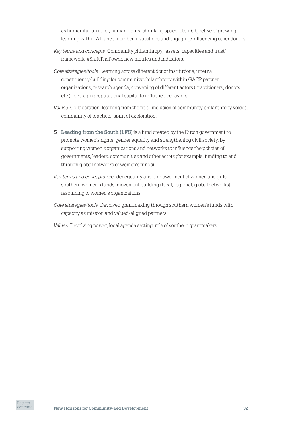as humanitarian relief, human rights, shrinking space, etc.). Objective of growing learning within Alliance member institutions and engaging/influencing other donors.

- *Key terms and concepts* Community philanthropy, 'assets, capacities and trust' framework, #ShiftThePower, new metrics and indicators.
- *Core strategies/tools* Learning across different donor institutions, internal constituency‑building for community philanthropy within GACP partner organizations, research agenda, convening of different actors (practitioners, donors etc.), leveraging reputational capital to influence behaviors.
- *Values* Collaboration, learning from the field, inclusion of community philanthropy voices, community of practice, 'spirit of exploration.'
- **5 Leading from the South (LFS)** is a fund created by the Dutch government to promote women's rights, gender equality and strengthening civil society, by supporting women's organizations and networks to influence the policies of governments, leaders, communities and other actors (for example, funding to and through global networks of women's funds).
- *Key terms and concepts* Gender equality and empowerment of women and girls, southern women's funds, movement building (local, regional, global networks), resourcing of women's organizations.
- *Core strategies/tools* Devolved grantmaking through southern women's funds with capacity as mission and valued‑aligned partners.
- *Values* Devolving power, local agenda setting, role of southern grantmakers.

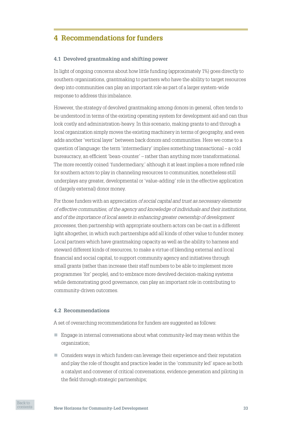# <span id="page-32-0"></span>**4 Recommendations for funders**

## **4.1 Devolved grantmaking and shifting power**

In light of ongoing concerns about how little funding (approximately 1%) goes directly to southern organizations, grantmaking to partners who have the ability to target resources deep into communities can play an important role as part of a larger system-wide response to address this imbalance.

However, the strategy of devolved grantmaking among donors in general, often tends to be understood in terms of the existing operating system for development aid and can thus look costly and administration-heavy. In this scenario, making grants to and through a local organization simply moves the existing machinery in terms of geography, and even adds another 'vertical layer' between back donors and communities. Here we come to a question of language: the term 'intermediary' implies something transactional – a cold bureaucracy, an efficient 'bean‑counter' – rather than anything more transformational. The more recently coined 'fundermediary,' although it at least implies a more refined role for southern actors to play in channeling resources to communities, nonetheless still underplays any greater, developmental or 'value‑adding' role in the effective application of (largely external) donor money.

For those funders with an appreciation *of social capital and trust as necessary elements of effective communities, of the agency and knowledge of individuals and their institutions, and of the importance of local assets in enhancing greater ownership of development processes*, then partnership with appropriate southern actors can be cast in a different light altogether, in which such partnerships add all kinds of other value to funder money. Local partners which have grantmaking capacity as well as the ability to harness and steward different kinds of resources, to make a virtue of blending external and local financial and social capital, to support community agency and initiatives through small grants (rather than increase their staff numbers to be able to implement more programmes 'for' people), and to embrace more devolved decision‑making systems while demonstrating good governance, can play an important role in contributing to community‑driven outcomes.

## **4.2 Recommendations**

A set of overarching recommendations for funders are suggested as follows:

- Engage in internal conversations about what community-led may mean within the organization;
- $\Box$  Considers ways in which funders can leverage their experience and their reputation and play the role of thought and practice leader in the 'community led' space as both a catalyst and convener of critical conversations, evidence generation and piloting in the field through strategic partnerships;

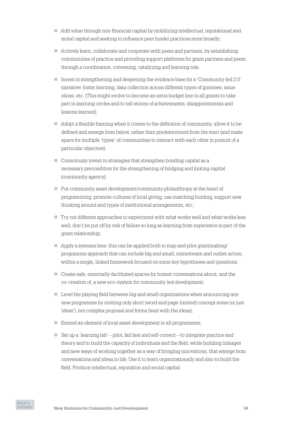- Add value through non-financial capital by mobilizing intellectual, reputational and moral capital and seeking to influence peer funder practices more broadly;
- $\blacksquare$  Actively learn, collaborate and cooperate with peers and partners, by establishing communities of practice and providing support platforms for grant partners and peers through a coordination, convening, catalyzing and learning role;
- Invest in strengthening and deepening the evidence base for a 'Community-led 2.0' narrative: foster learning, data collection across different types of grantees, issue siloes, etc. (This might evolve to become an extra budget line in all grants to take part in learning circles and to tell stories of achievements, disappointments and lessons learned);
- $\Box$  Adopt a flexible framing when it comes to the definition of community: allow it to be defined and emerge from below, rather than predetermined from the start (and make space for multiple 'types' of communities to interact with each other in pursuit of a particular objective);
- $\Box$  Consciously invest in strategies that strengthen bonding capital as a necessary precondition for the strengthening of bridging and linking capital (community agency);
- $\blacksquare$  Put community asset development/community philanthropy at the heart of programming: promote cultures of local giving, use matching funding, support new thinking around and types of institutional arrangements, etc.;
- $\Box$  Try out different approaches to experiment with what works well and what works less well; don't be put off by risk of failure so long as learning from experience is part of the grant relationship;
- $\Box$  Apply a systems lens: this can be applied both to map and pilot grantmaking/ programme approach that can include big and small, mainstream and outlier actors, within a single, linked framework focused on some key hypotheses and questions.
- Create safe, externally-facilitated spaces for honest conversations about, and the co‑creation of, a new eco‑system for community‑led development;
- $\Box$  Level the playing field between big and small organizations when announcing any new programme by inviting only short (word and page‑limited) concept notes (or just 'ideas'), not complex proposal and forms (lead with the ideas);
- $\blacksquare$  Embed an element of local asset development in all programmes;
- Set up a 'learning lab' pilot, fail fast and self-correct to integrate practice and theory and to build the capacity of individuals and the field, while building linkages and new ways of working together as a way of bringing innovations, that emerge from conversations and ideas,to life. Use it to learn organizationally and also to build the field. Produce intellectual, reputation and social capital.

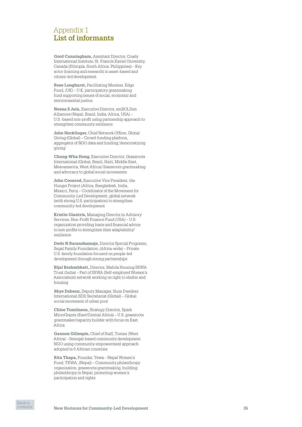# <span id="page-34-0"></span>Appendix 1 **List of informants**

**Gord Cunningham,** Assistant Director, Coady International Institute, St. Francis Xavier University, Canada (Ethiopia, South Africa, Philippines) – Key actor (training and research) in asset‑based and citizen‑led development

**Rose Longhurst,** Facilitating Member, Edge Fund, (UK) – U.K. participatory grantmaking fund supporting issues of social, economic and environmental justice

**Neena S Jain,** Executive Director, emBOLDen Alliances (Nepal, Brazil, India, Africa, USA) – U.S.‑based non‑profit using partnership approach to strengthen community resilience

**John Hecklinger,** Chief Network Officer, Global Giving (Global) – Crowd‑funding platform, aggregator of NGO data and funding,'democratizing giving'

**Chung -Wha Hong,** Executive Director, Grassroots International (Global, Brazil, Haiti, Middle East, Mesoamerica, West Africa) Grassroots grantmaking and advocacy to global social movements

**John Coonrod,** Executive Vice President, the Hunger Project (Africa, Bangladesh, India, Mexico, Peru) – Coordinator of the Movement for Community‑Led Development, global network (with strong U.S. participation) to strengthen community‑led development

**Kristin Giantris,** Managing Director in Advisory Services, Non‑Profit Finance Fund (USA) – U.S. organization providing loans and financial advice to non‑profits to strengthen their adaptability/ resilience

**Dedo N Baranshamaje,** Director Special Programs, Segal Family Foundation, (Africa‑wide) – Private U.S. family foundation focused on people‑led development through strong partnerships

**Bijal Brahmbhatt,** Director, Mahila Housing SEWA Trust (India) – Part of SEWA (Self‑employed Women's Association) network working on right to shelter and housing

**Skye Dobson,** Deputy Manager, Slum Dwellers International (SDI) Secretariat (Global) – Global social movement of urban poor

**Chloe Tomlinson,** Strategy Director, Spark MicroGrants (East/Central Africa) – U.S. grassroots grantmaker/capacity builder with focus on East Africa

**Gannon Gillespie,** Chief of Staff, Tostan (West Africa) – Senegal‑based community development NGO using community empowerment approach adopted in 6 African countries

**Rita Thapa,** Founder, Tewa – Nepal Women's Fund, TEWA, (Nepal) – Community philanthropy organization, grassroots grantmaking, building philanthropy in Nepal, promoting women's participation and rights

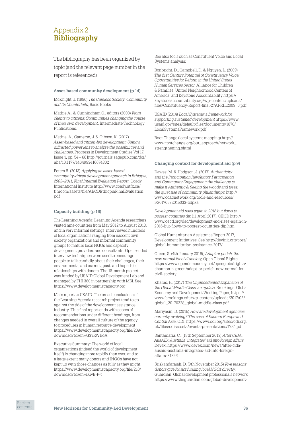# <span id="page-35-0"></span>Appendix 2 **Bibliography**

The bibliography has been organized by topic (and the relevant page number in the report is referenced)

#### **Asset-based community development (p 14)**

McKnight, J. (1996) *The Careless Society: Community and Its Counterfeits*, Basic Books

Mathie A., & Cunningham G., editors (2008) *From clients to citizens: Communities changing the course of their own development*, Intermediate Technology Publications.

Mathie, A., Cameron, J. & Gibson, K. (2017) *Asset‑based and citizen‑led development: Using a diffracted power lens to analyze the possibilities and challenges*, Progress in Development Studies Vol 17, Issue 1, pp. 54 – 66 http://journals.sagepub.com/doi/ abs/10.1177/1464993416674302

Peters B. (2013) *Applying an asset‑based community‑driven development approach in Ethiopia, 2003–2011, Final Internal Evaluation Report*, Coady International Institute [http://www.coady.stfx.ca/](http://www.coady.stfx.ca/tinroom/assets/file/ABCDEthiopiaFinalEvaluation.pdf) [tinroom/assets/file/ABCDEthiopiaFinalEvaluation.](http://www.coady.stfx.ca/tinroom/assets/file/ABCDEthiopiaFinalEvaluation.pdf) [pdf](http://www.coady.stfx.ca/tinroom/assets/file/ABCDEthiopiaFinalEvaluation.pdf)

#### **Capacity building (p 16)**

The Learning Agenda: Learning Agenda researchers visited nine countries from May 2012 to August 2013, and in very informal settings, interviewed hundreds of local organizations ranging from nascent civil society organizations and informal community groups to mature local NGOs and capacity development providers and consultants. Open‑ended interview techniques were used to encourage people to talk candidly about their challenges, their environments, and current, past, and hoped-for relationships with donors. The 18‑month project was funded by USAID Global Development Lab and managed by FHI 360 in partnership with MSI. See <https://www.developmentiscapacity.org>

Main report to USAID: The broad conclusions of the Learning Agenda research project tend to go against the tide of the development assistance industry. This final report ends with scores of recommendations under different headings, from changes needed in overall culture of the agency to procedures in human resource development. [https://www.developmentiscapacity.org/file/209/](https://www.developmentiscapacity.org/file/209/download?token=G3vRWEoA) [download?token=G3vRWEoA](https://www.developmentiscapacity.org/file/209/download?token=G3vRWEoA)

Executive Summary: The world of local organizations (indeed the world of development itself) is changing more rapidly than ever, and to a large extent many donors and INGOs have not kept up with those changes as fully as they might. [https://www.developmentiscapacity.org/file/210/](https://www.developmentiscapacity.org/file/210/download?token=iKwB-P-t) [download?token=iKwB‑P‑t](https://www.developmentiscapacity.org/file/210/download?token=iKwB-P-t)

See also tools such as Constituent Voice and Local Systems analysis:

Bonbright, D., Campbell, D. & Nguyen, L. (2009) *The 21st Century Potential of Constituency Voice: Opportunities for Reform in the United States Human Services Sector*, Alliance for Children & Families, United Neighborhood Centers of America, and Keystone Accountability [https://](https://keystoneaccountability.org/wp-content/uploads/files/Constituency-Report-final-27APRIL2009_0.pdf) [keystoneaccountability.org/wp-content/uploads/](https://keystoneaccountability.org/wp-content/uploads/files/Constituency-Report-final-27APRIL2009_0.pdf) files/Constituency-Report-final-27APRIL2009\_0.pdf

USAID (2014) *Local Systems: a framework for supporting sustained development* [https://www.](https://www.usaid.gov/sites/default/files/documents/1870/LocalSystemsFramework.pdf) [usaid.gov/sites/default/files/documents/1870/](https://www.usaid.gov/sites/default/files/documents/1870/LocalSystemsFramework.pdf) [LocalSystemsFramework.pdf](https://www.usaid.gov/sites/default/files/documents/1870/LocalSystemsFramework.pdf)

Root Change (local systems mapping) [http://](http://www.rootchange.org/our_approach/network_strengthening.shtml) [www.rootchange.org/our\\_approach/network\\_](http://www.rootchange.org/our_approach/network_strengthening.shtml) [strengthening.shtml](http://www.rootchange.org/our_approach/network_strengthening.shtml)

#### **Changing context for development aid (p 9)**

Dawes, M. & Hodgson, J. (2017) *Authenticity and the Participation Revolution: Participation and Community Engagement; the challenge to make it Authentic & Seeing the woods and trees: the quiet rise of community philanthropy*, [http://](http://www.cdacnetwork.org/tools-and-resources/i/20170522015033-cdpka) [www.cdacnetwork.org/tools-and-resources/](http://www.cdacnetwork.org/tools-and-resources/i/20170522015033-cdpka) [i/20170522015033‑cdpka](http://www.cdacnetwork.org/tools-and-resources/i/20170522015033-cdpka)

*Development aid rises again in 2016 but flows to poorest countries dip* (11 April 2017), OECD [http://](http://www.oecd.org/dac/development-aid-rises-again-in-2016-but-flows-to-poorest-countries-dip.htm) [www.oecd.org/dac/development-aid-rises-again-in-](http://www.oecd.org/dac/development-aid-rises-again-in-2016-but-flows-to-poorest-countries-dip.htm)[2016-but-flows-to-poorest-countries-dip.htm](http://www.oecd.org/dac/development-aid-rises-again-in-2016-but-flows-to-poorest-countries-dip.htm)

Global Humanitarian Assistance Report 2017, Development Initiatives, See [http://devinit.org/post/](http://devinit.org/post/global-humanitarian-assistance-2017/) [global-humanitarian-assistance-2017/](http://devinit.org/post/global-humanitarian-assistance-2017/)

Green, S. (4th January 2016), *Adapt or perish: the new normal for civil society*, Open Global Rights, [https://www.opendemocracy.net/openglobalrights/](https://www.opendemocracy.net/openglobalrights/shannon-n-green/adapt-or-perish-new-normal-for-civil-society) [shannon-n-green/adapt-or-perish-new-normal-for](https://www.opendemocracy.net/openglobalrights/shannon-n-green/adapt-or-perish-new-normal-for-civil-society)[civil-society](https://www.opendemocracy.net/openglobalrights/shannon-n-green/adapt-or-perish-new-normal-for-civil-society)

Kharas, H. (2017) *The Unprecedented Expansion of the Global Middle Class: an update*, Brookings: Global Economy and Development Working Paper, [https://](https://www.brookings.edu/wp-content/uploads/2017/02/global_20170228_global-middle-class.pdf) [www.brookings.edu/wp-content/uploads/2017/02/](https://www.brookings.edu/wp-content/uploads/2017/02/global_20170228_global-middle-class.pdf) [global\\_20170228\\_global-middle-class.pdf](https://www.brookings.edu/wp-content/uploads/2017/02/global_20170228_global-middle-class.pdf)

Mariyasin, D. (2015) *How are development agencies currently evolving? The case of Eastern Europe and Central Asia*, ODI, [https://www.odi.org/sites/odi.org.](https://www.odi.org/sites/odi.org.uk/files/odi-assets/events-presentations/1724.pdf) [uk/files/odi-assets/events-presentations/1724.pdf](https://www.odi.org/sites/odi.org.uk/files/odi-assets/events-presentations/1724.pdf)

Santamaria, C., (18th September 2013) *After CIDA, AusAID: Australia 'integrates' aid into foreign affairs*, Devex, [https://www.devex.com/news/after-cida](https://www.devex.com/news/after-cida-ausaid-australia-integrates-aid-into-foreign-affairs-81826)[ausaid-australia-integrates-aid-into-foreign](https://www.devex.com/news/after-cida-ausaid-australia-integrates-aid-into-foreign-affairs-81826)[affairs-81826](https://www.devex.com/news/after-cida-ausaid-australia-integrates-aid-into-foreign-affairs-81826)

Sriskandarajah, D. (9th November 2015) *Five reasons donors give for not funding local NGOs directly*, Guardian: Global development professionals network [https://www.theguardian.com/global-development-](https://www.theguardian.com/global-development-professionals-network/2015/nov/09/five-reasons-donors-give-for-not-funding-local-ngos-directly)

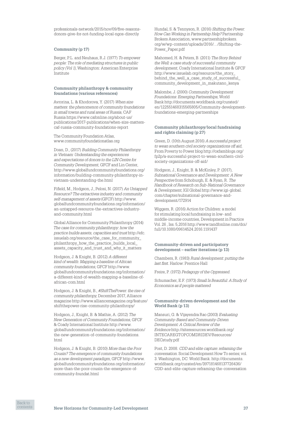[professionals-network/2015/nov/09/five-reasons](https://www.theguardian.com/global-development-professionals-network/2015/nov/09/five-reasons-donors-give-for-not-funding-local-ngos-directly)[donors-give-for-not-funding-local-ngos-directly](https://www.theguardian.com/global-development-professionals-network/2015/nov/09/five-reasons-donors-give-for-not-funding-local-ngos-directly)

#### **Community (p 17)**

Berger, P.L. and Neuhaus, R.J. (1977) *To empower people: The role of mediating structures in public policy (Vol 1)*, Washington: American Enterprise Institute

#### **Community philanthropy & community foundations (various references)**

Avrorina, L. & Khodorova, Y. (2017) *When size matters: the phenomenon of community foundations in small towns and rural areas of Russia*, CAF Russia [https://www.cafonline.org/about-us/](https://www.cafonline.org/about-us/publications/2017-publications/when-size-matters-caf-russia-community-foundations-report) [publications/2017-publications/when-size-matters](https://www.cafonline.org/about-us/publications/2017-publications/when-size-matters-caf-russia-community-foundations-report)[caf-russia-community-foundations-report](https://www.cafonline.org/about-us/publications/2017-publications/when-size-matters-caf-russia-community-foundations-report)

The Community Foundation Atlas, [www.communityfoundationatlas.org](http://www.communityfoundationatlas.org)

Doan, D., (2017) *Building Community Philanthropy in Vietnam: Understanding the experiences and expectations of donors to the LIN Centre for Community Development*, GFCF and Lin Center, [http://www.globalfundcommunityfoundations.org/](http://www.globalfundcommunityfoundations.org/information/building-community-philanthropy-in-vietnam-understanding-the.html) [information/building-community-philanthropy-in](http://www.globalfundcommunityfoundations.org/information/building-community-philanthropy-in-vietnam-understanding-the.html)[vietnam-understanding-the.html](http://www.globalfundcommunityfoundations.org/information/building-community-philanthropy-in-vietnam-understanding-the.html)

Fifield, M., Hodgson, J., Pelosi, N. (2017) *An Untapped Resource? The extractives industry and community self-management of assets* (GFCF) [http://www.](http://www.globalfundcommunityfoundations.org/information/an-untapped-resource-the-extractives-industry-and-community.html) [globalfundcommunityfoundations.org/information/](http://www.globalfundcommunityfoundations.org/information/an-untapped-resource-the-extractives-industry-and-community.html) [an-untapped-resource-the-extractives-industry](http://www.globalfundcommunityfoundations.org/information/an-untapped-resource-the-extractives-industry-and-community.html)[and-community.html](http://www.globalfundcommunityfoundations.org/information/an-untapped-resource-the-extractives-industry-and-community.html)

Global Alliance for Community Philanthropy (2014) *The case for community philanthropy: how the practice builds assets, capacities and trust* [http://efc.](http://efc.issuelab.org/resource/the_case_for_community_philanthropy_how_the_practice_builds_local_assets_capacity_and_trust_and_why_it_matters) [issuelab.org/resource/the\\_case\\_for\\_community\\_](http://efc.issuelab.org/resource/the_case_for_community_philanthropy_how_the_practice_builds_local_assets_capacity_and_trust_and_why_it_matters) [philanthropy\\_how\\_the\\_practice\\_builds\\_local\\_](http://efc.issuelab.org/resource/the_case_for_community_philanthropy_how_the_practice_builds_local_assets_capacity_and_trust_and_why_it_matters) [assets\\_capacity\\_and\\_trust\\_and\\_why\\_it\\_matters](http://efc.issuelab.org/resource/the_case_for_community_philanthropy_how_the_practice_builds_local_assets_capacity_and_trust_and_why_it_matters)

Hodgson, J. & Knight, B. (2012) *A different kind of wealth: Mapping a baseline of African community foundations*, GFCF [http://www.](http://www.globalfundcommunityfoundations.org/information/a-different-kind-of-wealth-mapping-a-baseline-of-african-com.html) [globalfundcommunityfoundations.org/information/](http://www.globalfundcommunityfoundations.org/information/a-different-kind-of-wealth-mapping-a-baseline-of-african-com.html) [a-different-kind-of-wealth-mapping-a-baseline-of](http://www.globalfundcommunityfoundations.org/information/a-different-kind-of-wealth-mapping-a-baseline-of-african-com.html)[african-com.html](http://www.globalfundcommunityfoundations.org/information/a-different-kind-of-wealth-mapping-a-baseline-of-african-com.html)

Hodgson, J. & Knight, B., *#ShiftThePower: the rise of community philanthropy*, December 2017, Alliance magazine [http://www.alliancemagazine.org/feature/](http://www.alliancemagazine.org/feature/shiftthepower-rise-community-philanthropy/) [shiftthepower-rise-community-philanthropy/](http://www.alliancemagazine.org/feature/shiftthepower-rise-community-philanthropy/)

Hodgson, J., Knight, B. & Mathie, A. (2012) *The New Generation of Community Foundations*, GFCF & Coady International Institute [http://www.](http://www.globalfundcommunityfoundations.org/information/the-new-generation-of-community-foundations.html) [globalfundcommunityfoundations.org/information/](http://www.globalfundcommunityfoundations.org/information/the-new-generation-of-community-foundations.html) [the-new-generation-of-community-foundations.](http://www.globalfundcommunityfoundations.org/information/the-new-generation-of-community-foundations.html) [html](http://www.globalfundcommunityfoundations.org/information/the-new-generation-of-community-foundations.html)

Hodgson, J. & Knight, B. (2010) *More than the Poor Cousin? The emergence of community foundations as a new development paradigm*, GFCF [http://www.](http://www.globalfundcommunityfoundations.org/information/more-than-the-poor-cousin-the-emergence-of-community-foundat.html) [globalfundcommunityfoundations.org/information/](http://www.globalfundcommunityfoundations.org/information/more-than-the-poor-cousin-the-emergence-of-community-foundat.html) [more-than-the-poor-cousin-the-emergence-of](http://www.globalfundcommunityfoundations.org/information/more-than-the-poor-cousin-the-emergence-of-community-foundat.html)[community-foundat.html](http://www.globalfundcommunityfoundations.org/information/more-than-the-poor-cousin-the-emergence-of-community-foundat.html)

Hundal, S. & Tennyson, R. (2016) *Shifting the Power: How Can Working in Partnership Help?* Partnership Brokers Association, [www.partnershipbrokers.](http://www.partnershipbrokers.org/w/wp-content/uploads/2016/.../Shifting-the-Power_Paper.pdf) [org/w/wp-content/uploads/2016/…/Shifting-the-](http://www.partnershipbrokers.org/w/wp-content/uploads/2016/.../Shifting-the-Power_Paper.pdf)[Power\\_Paper.pdf](http://www.partnershipbrokers.org/w/wp-content/uploads/2016/.../Shifting-the-Power_Paper.pdf)

Mahomed, H. & Peters, B. (2011) *The Story Behind the Well: a case study of successful community development*, Coady International Institute & GFCF [http://www.issuelab.org/resource/the\\_story\\_](http://www.issuelab.org/resource/the_story_behind_the_well_a_case_study_of_successful_community_development_in_makutano_kenya) [behind\\_the\\_well\\_a\\_case\\_study\\_of\\_successful\\_](http://www.issuelab.org/resource/the_story_behind_the_well_a_case_study_of_successful_community_development_in_makutano_kenya) [community\\_development\\_in\\_makutano\\_kenya](http://www.issuelab.org/resource/the_story_behind_the_well_a_case_study_of_successful_community_development_in_makutano_kenya)

Malombe, J. (2000) *Community Development Foundations: Emerging Partnerships*, World Bank [http://documents.worldbank.org/curated/](http://documents.worldbank.org/curated/en/122551468315565805/Community-development-foundations-emerging-partnerships) [en/122551468315565805/Community-development](http://documents.worldbank.org/curated/en/122551468315565805/Community-development-foundations-emerging-partnerships)[foundations-emerging-partnerships](http://documents.worldbank.org/curated/en/122551468315565805/Community-development-foundations-emerging-partnerships)

#### **Community philanthropy/local fundraising and rights claiming (p 27)**

Green, D. (10th August 2016) *A successful project to wean southern civil society organizations off aid*, From Poverty to Power blog [http://oxfamblogs.org/](http://oxfamblogs.org/fp2p/a-successful-project-to-wean-southern-civil-society-organizations-off-aid/) [fp2p/a-successful-project-to-wean-southern-civil](http://oxfamblogs.org/fp2p/a-successful-project-to-wean-southern-civil-society-organizations-off-aid/)[society-organizations-off-aid/](http://oxfamblogs.org/fp2p/a-successful-project-to-wean-southern-civil-society-organizations-off-aid/)

Hodgson, J., Knight, B. & McKinley, P. (2017), *Subnational Governance and Development: A New Perspective* from Schoburgh, E. & Ryan, R. *The Handbook of Research on Sub‑National Governance & Development*, IGI Global [http://www.igi-global.](http://www.igi-global.com/chapter/subnational-governance-and-development/172914) [com/chapter/subnational-governance-and](http://www.igi-global.com/chapter/subnational-governance-and-development/172914)[development/172914](http://www.igi-global.com/chapter/subnational-governance-and-development/172914)

Wiggers, R. (2016) Action for Children: a model for stimulating local fundraising in low‑ and middle‑income countries, [Development in Practice](http://www.tandfonline.com/toc/cdip20/26/5)  Vol. 26 , Iss. 5,2016 [http://www.tandfonline.com/doi/](http://www.tandfonline.com/doi/full/10.1080/09614524.2016.1191437) [full/10.1080/09614524.2016.1191437](http://www.tandfonline.com/doi/full/10.1080/09614524.2016.1191437)

#### **Community-driven and participatory development – earlier iterations (p 13)**

Chambers, R. (1983) *Rural development: putting the last first*. Harlow: Prentice Hall

Freire, P. (1972) *Pedagogy of the Oppressed*.

Schumacher, E.F. (1973) *Small Is Beautiful: A Study of Economics as if people mattered*

#### **Community-driven development and the World Bank (p 13)**

Mansuri, G. & Vijayendra Rao (2003) *Evaluating Community‑Based and Community‑Driven Development: A Critical Review of the Evidence* [http://siteresources.worldbank.org/](http://siteresources.worldbank.org/INTECAREGTOPCOMDRIDEV/Resources/DECstudy.pdf) [INTECAREGTOPCOMDRIDEV/Resources/](http://siteresources.worldbank.org/INTECAREGTOPCOMDRIDEV/Resources/DECstudy.pdf) [DECstudy.pdf](http://siteresources.worldbank.org/INTECAREGTOPCOMDRIDEV/Resources/DECstudy.pdf)

Post, D. 2008. *CDD and elite capture: reframing the conversation*. Social Development How To series; vol. 3. Washington, DC: World Bank. [http://documents.](http://documents.worldbank.org/curated/en/397181468137726436/CDD-and-elite-capture-reframing-the-conversation) [worldbank.org/curated/en/397181468137726436/](http://documents.worldbank.org/curated/en/397181468137726436/CDD-and-elite-capture-reframing-the-conversation) [CDD-and-elite-capture-reframing-the-conversation](http://documents.worldbank.org/curated/en/397181468137726436/CDD-and-elite-capture-reframing-the-conversation)

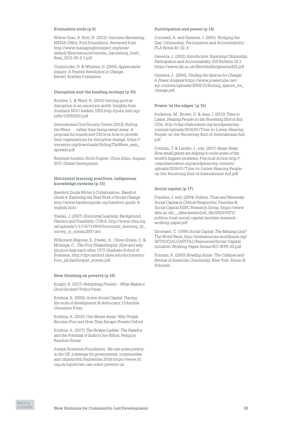#### **Evaluation tools (p 6)**

Wilson Grau, R. Britt, H. (2012) *Outcome Harvesting*, MENA Office, Ford Foundation. Retrieved from [http://www.managingforimpact.org/sites/](http://www.managingforimpact.org/sites/default/files/resource/outome_harvesting_brief_final_2012-05-2-1.pdf) [default/files/resource/outome\\_harvesting\\_brief\\_](http://www.managingforimpact.org/sites/default/files/resource/outome_harvesting_brief_final_2012-05-2-1.pdf) [final\\_2012-05-2-1.pdf](http://www.managingforimpact.org/sites/default/files/resource/outome_harvesting_brief_final_2012-05-2-1.pdf)

Cooperrider, D. & Whitney, D. (2005) *Appreciative inquiry: A Positive Revolution in Change*, Berrett‑Koehler Publishers

#### **Disruption and the funding ecology (p 16)**

Buckley, L. & Ward, H. (2015) Getting good at disruption in an uncertain world: Insights from Southern NGO leaders, IIED [http://pubs.iied.org/](http://pubs.iied.org/pdfs/11505IIED.pdf) [pdfs/11505IIED.pdf](http://pubs.iied.org/pdfs/11505IIED.pdf)

International Civil Society Centre (2013), Riding the Wave . . . rather than being swept away: A proposal for boards and CEOs on how to provide their organisations for disruptive change, [https://](https://icscentre.org/downloads/RidingTheWave_web_spreads.pdf) [icscentre.org/downloads/RidingTheWave\\_web\\_](https://icscentre.org/downloads/RidingTheWave_web_spreads.pdf) [spreads.pdf](https://icscentre.org/downloads/RidingTheWave_web_spreads.pdf)

Resilient funders, Scott Dupree, Chris Allan, August 2017, Global Greengrants

#### **Horizontal learning practices, indigenous knowledge systems (p 15)**

Barefoot Guide Writer's Collaborative, *Barefoot Guide 4: Exploring the Real Work of Social Change* [http://www.barefootguide.org/barefoot-guide-4](http://www.barefootguide.org/barefoot-guide-4-english.html)[english.html](http://www.barefootguide.org/barefoot-guide-4-english.html)

Stielau, J. (2007) *Horizontal Learning: Background, Practice and Possibility*, CDRA, [http://www.cdra.org.](http://www.cdra.org.za/uploads/1/1/1/6/111664/horizontal_learning_lit_survey_jo_stielau2007.doc) [za/uploads/1/1/1/6/111664/horizontal\\_learning\\_lit\\_](http://www.cdra.org.za/uploads/1/1/1/6/111664/horizontal_learning_lit_survey_jo_stielau2007.doc) [survey\\_jo\\_stielau2007.doc](http://www.cdra.org.za/uploads/1/1/1/6/111664/horizontal_learning_lit_survey_jo_stielau2007.doc)

Wilkonson Maposa, S., Fowler, A., Oliver‑Evans, C. & Mulenga, C., *The Poor Philanthropist: How and why the poor help each other*, UCT Graduate School of Business, [http://clpv.sanford.duke.edu/documents/](http://clpv.sanford.duke.edu/documents/Poor_philanthropist_screen.pdf) [Poor\\_philanthropist\\_screen.pdf](http://clpv.sanford.duke.edu/documents/Poor_philanthropist_screen.pdf)

#### **New thinking on poverty (p 16)**

Knight, B. (2017) *Rethinking Poverty – What Makes a Good Society?* Policy Press

Krishna, A. (2002) *Active Social Capital: Tracing the roots of development & democracy*, Columbia University Press

Krishna, A. (2010) *One Illness Away: Why People Become Poor and How They Escape Poverty* Oxford

Krishna, A. (2017) *The Broken Ladder: The Paradox and the Potential of India's One Billion*, Penguin Random House

Joseph Rowntree Foundation, *We can solve poverty in the UK: a strategy for governments, communities and citizens* (6th September 2016) [https://www.jrf.](https://www.jrf.org.uk/report/we-can-solve-poverty-uk) [org.uk/report/we-can-solve-poverty-uk](https://www.jrf.org.uk/report/we-can-solve-poverty-uk)

#### **Participation and power (p 14)**

Cornwall, A. and Gaventa, J. (2001) 'Bridging the Gap: Citizenship, Participation and Accountability', PLA Notes 40: 32–5

Gaventa, J. (2002) *Introduction: Exploring Citizenship, Participation and Accountability*, IDS Bulletin 33.2 <https://www.ids.ac.uk/files/dmfile/gaventa332.pdf>

Gaventa, J., (2006), *Finding the Spaces for Change: A Power Analysis* [https://www.powercube.net/](https://www.powercube.net/wp-content/uploads/2009/12/finding_spaces_for_change.pdf) [wp-content/uploads/2009/12/finding\\_spaces\\_for\\_](https://www.powercube.net/wp-content/uploads/2009/12/finding_spaces_for_change.pdf) [change.pdf](https://www.powercube.net/wp-content/uploads/2009/12/finding_spaces_for_change.pdf)

#### **Power 'at the edges' (p 15)**

Anderson, M., Brown, D. & Jean, I. (2012) *Time to Listen: Hearing People on the Receiving End of Aid*, CDA, [http://cdacollaborative.org/wordpress/wp](http://cdacollaborative.org/wordpress/wp-content/uploads/2016/01/Time-to-Listen-Hearing-People-on-the-Receiving-End-of-International-Aid.pdf)[content/uploads/2016/01/Time-to-Listen-Hearing-](http://cdacollaborative.org/wordpress/wp-content/uploads/2016/01/Time-to-Listen-Hearing-People-on-the-Receiving-End-of-International-Aid.pdf)[People-on-the-Receiving-End-of-International-Aid.](http://cdacollaborative.org/wordpress/wp-content/uploads/2016/01/Time-to-Listen-Hearing-People-on-the-Receiving-End-of-International-Aid.pdf) [pdf](http://cdacollaborative.org/wordpress/wp-content/uploads/2016/01/Time-to-Listen-Hearing-People-on-the-Receiving-End-of-International-Aid.pdf)

Cothran, T. & Lentfer, J., eds, (2017) *Smart Risks: How small grants are helping to solve some of the world's biggest problems*, Practical Action [http://](http://cdacollaborative.org/wordpress/wp-content/uploads/2016/01/Time-to-Listen-Hearing-People-on-the-Receiving-End-of-International-Aid.pdf) [cdacollaborative.org/wordpress/wp-content/](http://cdacollaborative.org/wordpress/wp-content/uploads/2016/01/Time-to-Listen-Hearing-People-on-the-Receiving-End-of-International-Aid.pdf) [uploads/2016/01/Time-to-Listen-Hearing-People](http://cdacollaborative.org/wordpress/wp-content/uploads/2016/01/Time-to-Listen-Hearing-People-on-the-Receiving-End-of-International-Aid.pdf)[on-the-Receiving-End-of-International-Aid.pdf](http://cdacollaborative.org/wordpress/wp-content/uploads/2016/01/Time-to-Listen-Hearing-People-on-the-Receiving-End-of-International-Aid.pdf)

#### **Social capital (p 17)**

Franklin, J. (ed), (2004) *Politics, Trust and Networks: Social Capital in Critical Perspective*, Families & Social Capital ESRC Research Group, [https://www.](https://www.lsbu.ac.uk/__data/assets/pdf_file/0003/9372/politics-trust-social-capital-families-research-working-paper.pdf) [lsbu.ac.uk/\\_\\_data/assets/pdf\\_file/0003/9372/](https://www.lsbu.ac.uk/__data/assets/pdf_file/0003/9372/politics-trust-social-capital-families-research-working-paper.pdf) [politics-trust-social-capital-families-research](https://www.lsbu.ac.uk/__data/assets/pdf_file/0003/9372/politics-trust-social-capital-families-research-working-paper.pdf)[working-paper.pdf](https://www.lsbu.ac.uk/__data/assets/pdf_file/0003/9372/politics-trust-social-capital-families-research-working-paper.pdf)

Grootaert, C. (1998) *Social Capital: The Missing Link?* The World Bank, [http://siteresources.worldbank.org/](http://siteresources.worldbank.org/INTSOCIALCAPITAL/Resources/Social-Capital-Initiative-Working-Paper-Series/SCI-WPS-03.pdf) [INTSOCIALCAPITAL/Resources/Social-Capital-](http://siteresources.worldbank.org/INTSOCIALCAPITAL/Resources/Social-Capital-Initiative-Working-Paper-Series/SCI-WPS-03.pdf)[Initiative-Working-Paper-Series/SCI-WPS-03.pdf](http://siteresources.worldbank.org/INTSOCIALCAPITAL/Resources/Social-Capital-Initiative-Working-Paper-Series/SCI-WPS-03.pdf)

Putnam, R. (2000) *Bowling Alone: The Collapse and Revival of American Community*, New York, Simon & Schuster.

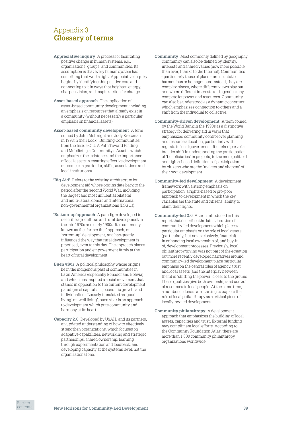# <span id="page-38-0"></span>Appendix 3 **Glossary of terms**

- **Appreciative inquiry** A process for facilitating positive change in human systems, e.g., organizations, groups, and communities. Its assumption is that every human system has something that works right. Appreciative inquiry begins by identifying this positive core and connecting to it in ways that heighten energy, sharpen vision, and inspire action for change.
- **Asset-based approach** The application of asset‑based community development, including an emphasis on resources that already exist in a community (without necessarily a particular emphasis on financial assets).
- **Asset-based community development** A term coined by John McKnight and Jody Kretzman in 1993 in their book, 'Building Communities from the Inside Out: A Path Toward Finding and Mobilizing a Community's Assets' which emphasizes the existence and the importance of local assets in ensuring effective development outcomes (in particular, skills, associations and local institutions).
- **'Big Aid'** Refers to the existing architecture for development aid whose origins date back to the period after the Second World War, including the largest and most influential bilateral and multi‑lateral donors and international non‑governmental organizations (INGOs).
- **'Bottom-up'approach** A paradigm developed to describe agricultural and rural development in the late 1970s and early 1980s. It is commonly known as the 'farmer first' approach, or 'bottom‑up' development, and has greatly influenced the way that rural development is practised, even to this day. The approach places participation and empowerment firmly at the heart of rural development.
- **Buen vivir** A political philosophy whose origins lie in the indigenous past of communities in Latin America (especially Ecuador and Bolivia) and which has inspired a social movement that stands in opposition to the current development paradigm of capitalism, economic growth and individualism. Loosely translated as 'good living' or 'well living', buen vivir is an approach to development which puts community and harmony at its heart.
- **Capacity 2.0** Developed by USAID and its partners, an updated understanding of how to effectively strengthen organizations, which focuses on adapative capabilities, networking and strategic partnerships, shared ownership, learning through experimentation and feedback, and developing capacity at the systems level, not the organizational one.
- **Community** Most commonly defined by geography, community can also be defined by identity, interests and shared values (now more possible than ever, thanks to the Internet). Communities – particularly those of place – are not static, harmonious or homogenous; instead, they are complex places, where different views play out and where different interests and agendas may compete for power and resources. Community can also be understood as a dynamic construct, which emphasizes connection to others and a shift from the individual to collective.
- **Community-driven development** A term coined by the World Bank in the 1990s as a distinctive strategy for delivering aid in ways that emphasized community control over planning and resource allocation, particularly with regards to local government. It marked part of a broader shift in understanding the participation of 'beneficiaries' in projects, to the more political and rights‑based definitions of participation by citizens who are the 'makers and shapers' of their own development.
- **Community-led development** A development framework with a strong emphasis on participation, a rights‑based or pro‑poor approach to development in which the key variables are the state and citizens' ability to claim their rights.
- **Community-led 2.0** A term introduced in this report that describes the latest iteration of community‑led development which places a particular emphasis on the role of local assets (particularly, but not exclusively, financial) in enhancing local ownership of, and buy-in of, development processes. Previously, local philanthropy/giving was not part of the equation but more recently developed narratives around community‑led development place particular emphasis on the central roles of agency, trust and local assets (and the interplay between them) in 'shifting the power' closer to the ground. These qualities give both ownership and control of resources to local people. At the same time, a number of donors are starting to explore the role of local philanthropy as a critical piece of locally‑owned development.
- **Community philanthropy** A development approach that emphasizes the building of local assets, capacities and trust. External funding may compliment local efforts. According to the Community Foundation Atlas, there are more than 1,800 community philanthropy organizations worldwide.

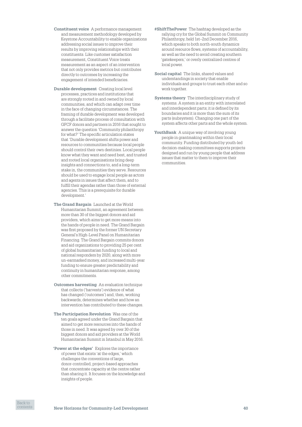- **Constituent voice** A performance management and measurement methodology developed by Keystone Accountability to enable organizations addressing social issues to improve their results by improving relationships with their constituents. Like customer satisfaction measurement, Constituent Voice treats measurement as an aspect of an intervention that not only provides metrics but contributes directly to outcomes by increasing the engagement of intended beneficiaries.
- **Durable development** Creating local level processes, practices and institutions that are strongly rooted in and owned by local communities, and which can adapt over time in the face of changing circumstances. The framing of durable development was developed through a facilitate process of consultation with GFCF donors and partners in 2016 that sought to answer the question 'Community philanthropy for what?' The specific articulation states that 'Durable development shifts power and resources to communities because local people should control their own destinies. Local people know what they want and need best, and trusted and rooted local organisations bring deep insights and connections to, and a long-term stake in, the communities they serve. Resources should be used to engage local people as actors and agents in issues that affect them, and to fulfill their agendas rather than those of external agencies. This is a prerequisite for durable development.'
- **The Grand Bargain** Launched at the World Humanitarian Summit, an agreement between more than 30 of the biggest donors and aid providers, which aims to get more means into the hands of people in need. The Grand Bargain was first proposed by the former UN Secretary General's High‑Level Panel on Humanitarian Financing. The Grand Bargain commits donors and aid organizations to providing 25 per cent of global humanitarian funding to local and national responders by 2020, along with more un-earmarked money, and increased multi-year funding to ensure greater predictability and continuity in humanitarian response, among other commitments.
- **Outcomes harvesting** An evaluation technique that collects ('harvests') evidence of what has changed ('outcomes') and, then, working backwards, determines whether and how an intervention has contributed to these changes.
- **The Participation Revolution** Was one of the ten goals agreed under the Grand Bargain that aimed to get more resources into the hands of those in need. It was agreed by over 30 of the biggest donors and aid providers at the World Humanitarian Summit in Istanbul in May 2016.
- **'Power at the edges'** Explores the importance of power that exists 'at the edges,' which challenges the conventions of large, donor‑controlled, project‑based approaches that concentrate capacity at the centre rather than sharing it. It focuses on the knowledge and insights of people.
- **#ShiftThePower** The hashtag developed as the rallying cry for the Global Summit on Community Philanthropy, held 1st–2nd December 2016, which speaks to both north‑south dynamics around resource flows, systems of accountability, as well as the need to avoid creating southern 'gatekeepers,' or overly centralized centres of local power.
- **Social capital** The links, shared values and understandings in society that enable individuals and groups to trust each other and so work together.
- **Systems theory** The interdisciplinary study of systems. A system is an entity with interrelated and interdependent parts; it is defined by its boundaries and it is more than the sum of its parts (subsystem). Changing one part of the system affects other parts and the whole system.
- YouthBank A unique way of involving young people in grantmaking within their local community. Funding distributed by youth‑led decision‑making committees supports projects designed and run by young people that address issues that matter to them to improve their communities.